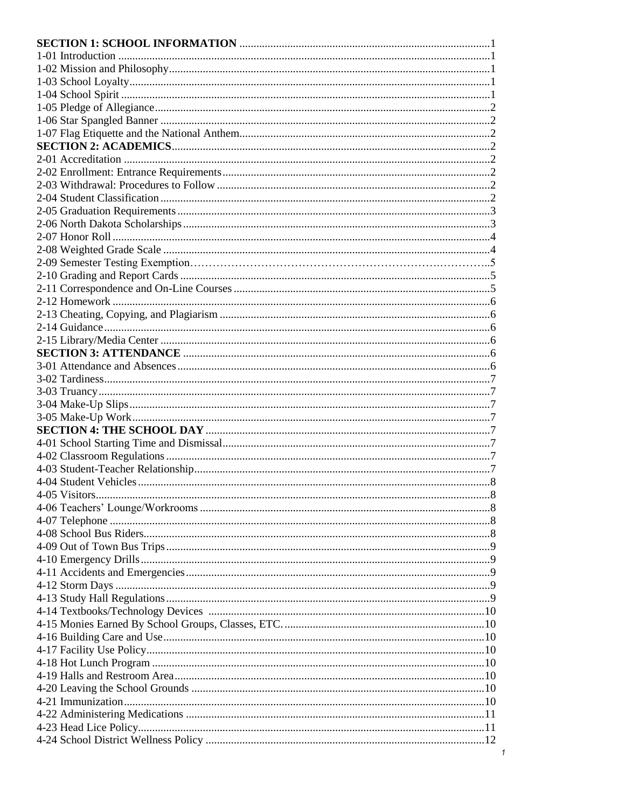$\mathbf{1}$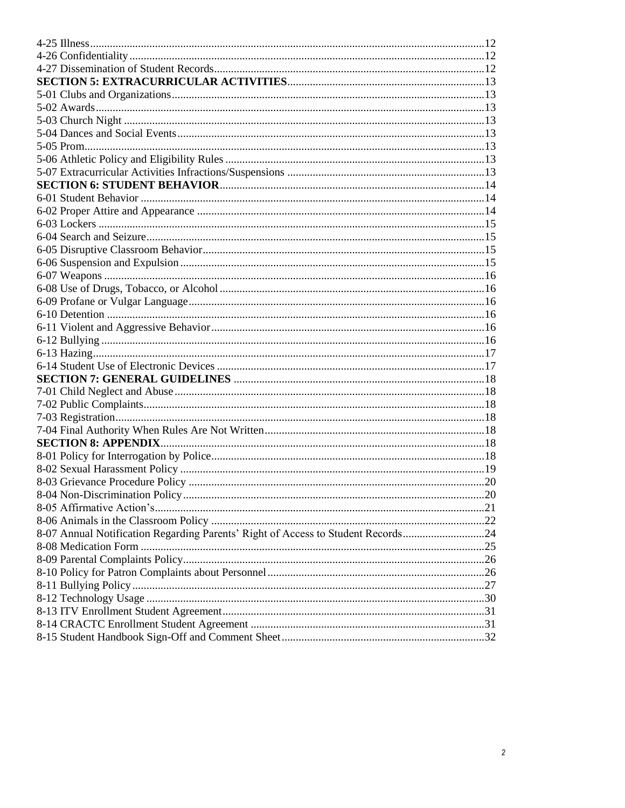| 8-07 Annual Notification Regarding Parents' Right of Access to Student Records24 |  |
|----------------------------------------------------------------------------------|--|
|                                                                                  |  |
|                                                                                  |  |
|                                                                                  |  |
|                                                                                  |  |
|                                                                                  |  |
|                                                                                  |  |
|                                                                                  |  |
|                                                                                  |  |
|                                                                                  |  |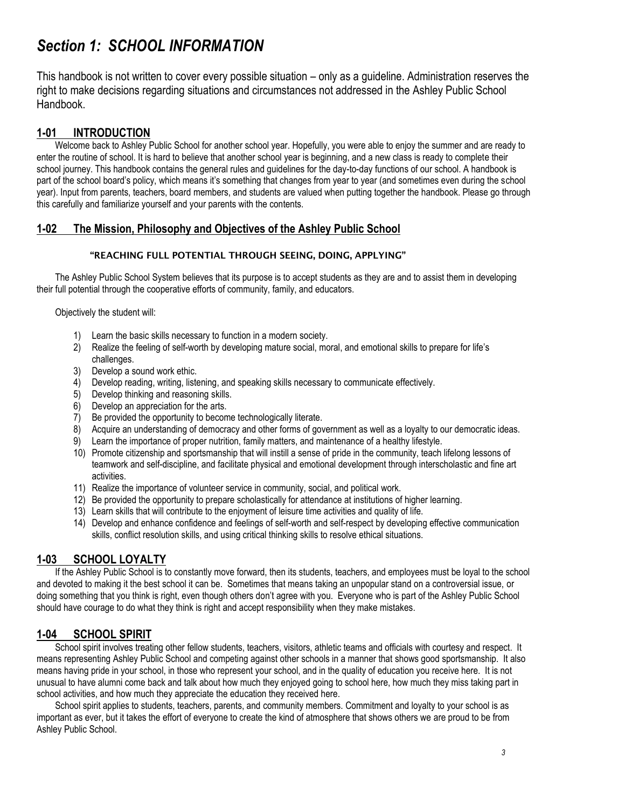# *Section 1: SCHOOL INFORMATION*

This handbook is not written to cover every possible situation – only as a guideline. Administration reserves the right to make decisions regarding situations and circumstances not addressed in the Ashley Public School Handbook.

# **1-01 INTRODUCTION**

Welcome back to Ashley Public School for another school year. Hopefully, you were able to enjoy the summer and are ready to enter the routine of school. It is hard to believe that another school year is beginning, and a new class is ready to complete their school journey. This handbook contains the general rules and guidelines for the day-to-day functions of our school. A handbook is part of the school board's policy, which means it's something that changes from year to year (and sometimes even during the school year). Input from parents, teachers, board members, and students are valued when putting together the handbook. Please go through this carefully and familiarize yourself and your parents with the contents.

## **1-02 The Mission, Philosophy and Objectives of the Ashley Public School**

#### **"REACHING FULL POTENTIAL THROUGH SEEING, DOING, APPLYING"**

The Ashley Public School System believes that its purpose is to accept students as they are and to assist them in developing their full potential through the cooperative efforts of community, family, and educators.

Objectively the student will:

- 1) Learn the basic skills necessary to function in a modern society.
- 2) Realize the feeling of self-worth by developing mature social, moral, and emotional skills to prepare for life's challenges.
- 3) Develop a sound work ethic.
- 4) Develop reading, writing, listening, and speaking skills necessary to communicate effectively.
- 5) Develop thinking and reasoning skills.
- 6) Develop an appreciation for the arts.
- 7) Be provided the opportunity to become technologically literate.
- 8) Acquire an understanding of democracy and other forms of government as well as a loyalty to our democratic ideas.
- 9) Learn the importance of proper nutrition, family matters, and maintenance of a healthy lifestyle.
- 10) Promote citizenship and sportsmanship that will instill a sense of pride in the community, teach lifelong lessons of teamwork and self-discipline, and facilitate physical and emotional development through interscholastic and fine art activities.
- 11) Realize the importance of volunteer service in community, social, and political work.
- 12) Be provided the opportunity to prepare scholastically for attendance at institutions of higher learning.
- 13) Learn skills that will contribute to the enjoyment of leisure time activities and quality of life.
- 14) Develop and enhance confidence and feelings of self-worth and self-respect by developing effective communication skills, conflict resolution skills, and using critical thinking skills to resolve ethical situations.

# **1-03 SCHOOL LOYALTY**

If the Ashley Public School is to constantly move forward, then its students, teachers, and employees must be loyal to the school and devoted to making it the best school it can be. Sometimes that means taking an unpopular stand on a controversial issue, or doing something that you think is right, even though others don't agree with you. Everyone who is part of the Ashley Public School should have courage to do what they think is right and accept responsibility when they make mistakes.

# **1-04 SCHOOL SPIRIT**

School spirit involves treating other fellow students, teachers, visitors, athletic teams and officials with courtesy and respect. It means representing Ashley Public School and competing against other schools in a manner that shows good sportsmanship. It also means having pride in your school, in those who represent your school, and in the quality of education you receive here. It is not unusual to have alumni come back and talk about how much they enjoyed going to school here, how much they miss taking part in school activities, and how much they appreciate the education they received here.

School spirit applies to students, teachers, parents, and community members. Commitment and loyalty to your school is as important as ever, but it takes the effort of everyone to create the kind of atmosphere that shows others we are proud to be from Ashley Public School.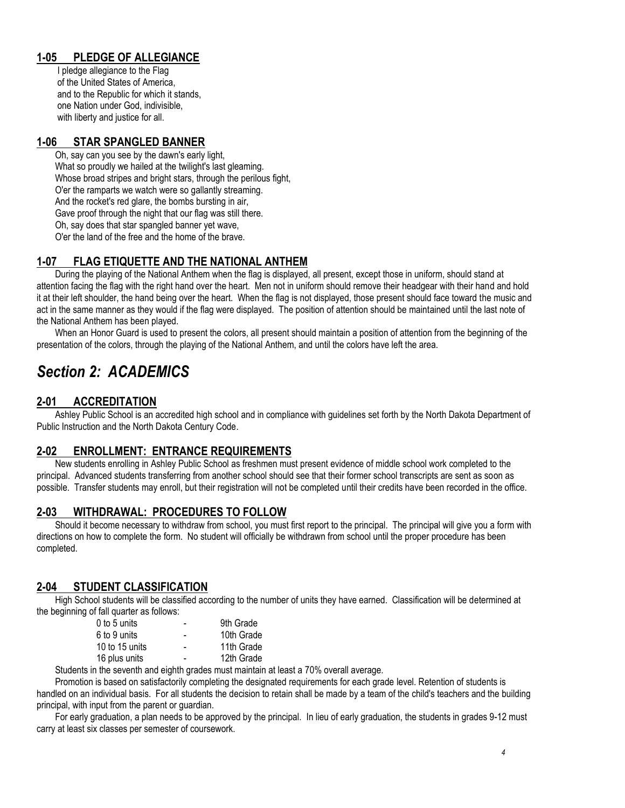# **1-05 PLEDGE OF ALLEGIANCE**

I pledge allegiance to the Flag of the United States of America, and to the Republic for which it stands, one Nation under God, indivisible, with liberty and justice for all.

## **1-06 STAR SPANGLED BANNER**

Oh, say can you see by the dawn's early light, What so proudly we hailed at the twilight's last gleaming.

Whose broad stripes and bright stars, through the perilous fight,

O'er the ramparts we watch were so gallantly streaming.

And the rocket's red glare, the bombs bursting in air,

Gave proof through the night that our flag was still there.

Oh, say does that star spangled banner yet wave,

O'er the land of the free and the home of the brave.

# **1-07 FLAG ETIQUETTE AND THE NATIONAL ANTHEM**

During the playing of the National Anthem when the flag is displayed, all present, except those in uniform, should stand at attention facing the flag with the right hand over the heart. Men not in uniform should remove their headgear with their hand and hold it at their left shoulder, the hand being over the heart. When the flag is not displayed, those present should face toward the music and act in the same manner as they would if the flag were displayed. The position of attention should be maintained until the last note of the National Anthem has been played.

When an Honor Guard is used to present the colors, all present should maintain a position of attention from the beginning of the presentation of the colors, through the playing of the National Anthem, and until the colors have left the area.

# *Section 2: ACADEMICS*

# **2-01 ACCREDITATION**

Ashley Public School is an accredited high school and in compliance with guidelines set forth by the North Dakota Department of Public Instruction and the North Dakota Century Code.

# **2-02 ENROLLMENT: ENTRANCE REQUIREMENTS**

New students enrolling in Ashley Public School as freshmen must present evidence of middle school work completed to the principal. Advanced students transferring from another school should see that their former school transcripts are sent as soon as possible. Transfer students may enroll, but their registration will not be completed until their credits have been recorded in the office.

# **2-03 WITHDRAWAL: PROCEDURES TO FOLLOW**

Should it become necessary to withdraw from school, you must first report to the principal. The principal will give you a form with directions on how to complete the form. No student will officially be withdrawn from school until the proper procedure has been completed.

# **2-04 STUDENT CLASSIFICATION**

High School students will be classified according to the number of units they have earned. Classification will be determined at the beginning of fall quarter as follows:

| $0$ to 5 units | - | 9th Grade  |
|----------------|---|------------|
| 6 to 9 units   |   | 10th Grade |
| 10 to 15 units |   | 11th Grade |
| 16 plus units  |   | 12th Grade |
|                |   |            |

Students in the seventh and eighth grades must maintain at least a 70% overall average.

Promotion is based on satisfactorily completing the designated requirements for each grade level. Retention of students is handled on an individual basis. For all students the decision to retain shall be made by a team of the child's teachers and the building principal, with input from the parent or guardian.

For early graduation, a plan needs to be approved by the principal. In lieu of early graduation, the students in grades 9-12 must carry at least six classes per semester of coursework.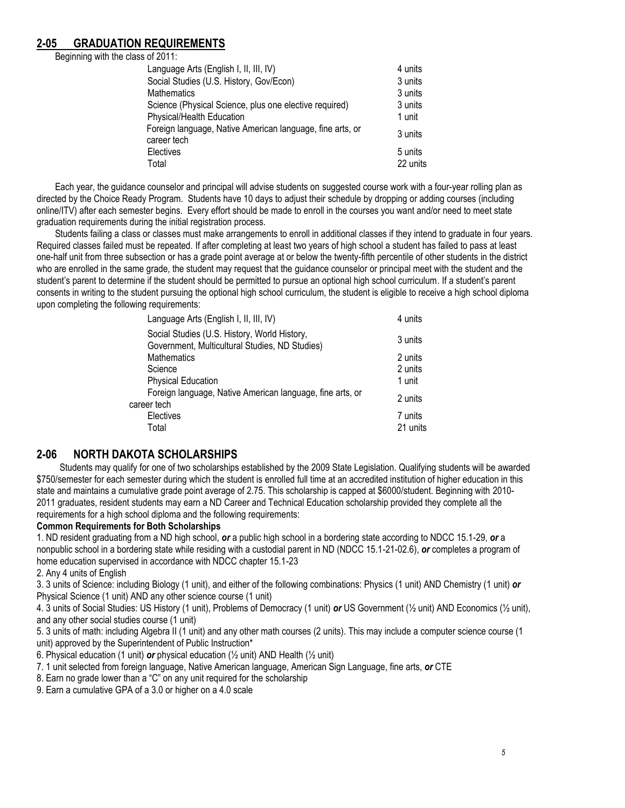## **2-05 GRADUATION REQUIREMENTS**

Beginning with the class of 2011:

| Language Arts (English I, II, III, IV)                                   | 4 units  |
|--------------------------------------------------------------------------|----------|
| Social Studies (U.S. History, Gov/Econ)                                  | 3 units  |
| <b>Mathematics</b>                                                       | 3 units  |
| Science (Physical Science, plus one elective required)                   | 3 units  |
| Physical/Health Education                                                | 1 unit   |
| Foreign language, Native American language, fine arts, or<br>career tech | 3 units  |
| <b>Electives</b>                                                         | 5 units  |
| Total                                                                    | 22 units |

Each year, the guidance counselor and principal will advise students on suggested course work with a four-year rolling plan as directed by the Choice Ready Program. Students have 10 days to adjust their schedule by dropping or adding courses (including online/ITV) after each semester begins. Every effort should be made to enroll in the courses you want and/or need to meet state graduation requirements during the initial registration process.

Students failing a class or classes must make arrangements to enroll in additional classes if they intend to graduate in four years. Required classes failed must be repeated. If after completing at least two years of high school a student has failed to pass at least one-half unit from three subsection or has a grade point average at or below the twenty-fifth percentile of other students in the district who are enrolled in the same grade, the student may request that the guidance counselor or principal meet with the student and the student's parent to determine if the student should be permitted to pursue an optional high school curriculum. If a student's parent consents in writing to the student pursuing the optional high school curriculum, the student is eligible to receive a high school diploma upon completing the following requirements:

| Language Arts (English I, II, III, IV)                                                         | 4 units             |
|------------------------------------------------------------------------------------------------|---------------------|
| Social Studies (U.S. History, World History,<br>Government, Multicultural Studies, ND Studies) | 3 units             |
| <b>Mathematics</b>                                                                             | 2 units             |
| Science                                                                                        | 2 units             |
| <b>Physical Education</b>                                                                      | 1 unit              |
| Foreign language, Native American language, fine arts, or<br>career tech                       | 2 units             |
| Electives<br>Total                                                                             | 7 units<br>21 units |
|                                                                                                |                     |

## **2-06 NORTH DAKOTA SCHOLARSHIPS**

Students may qualify for one of two scholarships established by the 2009 State Legislation. Qualifying students will be awarded \$750/semester for each semester during which the student is enrolled full time at an accredited institution of higher education in this state and maintains a cumulative grade point average of 2.75. This scholarship is capped at \$6000/student. Beginning with 2010- 2011 graduates, resident students may earn a ND Career and Technical Education scholarship provided they complete all the requirements for a high school diploma and the following requirements:

#### **Common Requirements for Both Scholarships**

1. ND resident graduating from a ND high school, *or* a public high school in a bordering state according to NDCC 15.1-29, *or* a nonpublic school in a bordering state while residing with a custodial parent in ND (NDCC 15.1-21-02.6), *or* completes a program of home education supervised in accordance with NDCC chapter 15.1-23

2. Any 4 units of English

3. 3 units of Science: including Biology (1 unit), and either of the following combinations: Physics (1 unit) AND Chemistry (1 unit) *or*  Physical Science (1 unit) AND any other science course (1 unit)

4. 3 units of Social Studies: US History (1 unit), Problems of Democracy (1 unit) *or* US Government (½ unit) AND Economics (½ unit), and any other social studies course (1 unit)

5. 3 units of math: including Algebra II (1 unit) and any other math courses (2 units). This may include a computer science course (1 unit) approved by the Superintendent of Public Instruction\*

6. Physical education (1 unit) *or* physical education (½ unit) AND Health (½ unit)

7. 1 unit selected from foreign language, Native American language, American Sign Language, fine arts, *or* CTE

8. Earn no grade lower than a "C" on any unit required for the scholarship

9. Earn a cumulative GPA of a 3.0 or higher on a 4.0 scale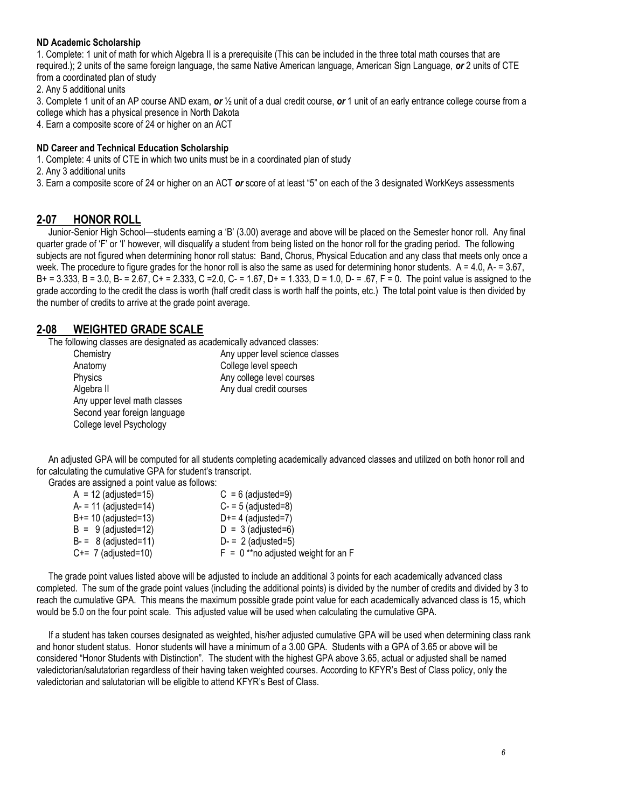#### **ND Academic Scholarship**

1. Complete: 1 unit of math for which Algebra II is a prerequisite (This can be included in the three total math courses that are required.); 2 units of the same foreign language, the same Native American language, American Sign Language, *or* 2 units of CTE from a coordinated plan of study

2. Any 5 additional units

3. Complete 1 unit of an AP course AND exam, *or* ½ unit of a dual credit course, *or* 1 unit of an early entrance college course from a college which has a physical presence in North Dakota

4. Earn a composite score of 24 or higher on an ACT

#### **ND Career and Technical Education Scholarship**

1. Complete: 4 units of CTE in which two units must be in a coordinated plan of study

2. Any 3 additional units

3. Earn a composite score of 24 or higher on an ACT *or* score of at least "5" on each of the 3 designated WorkKeys assessments

#### **2-07 HONOR ROLL**

 Junior-Senior High School—students earning a 'B' (3.00) average and above will be placed on the Semester honor roll. Any final quarter grade of 'F' or 'I' however, will disqualify a student from being listed on the honor roll for the grading period. The following subjects are not figured when determining honor roll status: Band, Chorus, Physical Education and any class that meets only once a week. The procedure to figure grades for the honor roll is also the same as used for determining honor students.  $A = 4.0$ ,  $A = 3.67$ . B+ = 3.333, B = 3.0, B- = 2.67, C+ = 2.333, C =2.0, C- = 1.67, D+ = 1.333, D = 1.0, D- = .67, F = 0. The point value is assigned to the grade according to the credit the class is worth (half credit class is worth half the points, etc.) The total point value is then divided by the number of credits to arrive at the grade point average.

#### **2-08 WEIGHTED GRADE SCALE**

The following classes are designated as academically advanced classes:

| Chemistry                    | Any upper level science classes |
|------------------------------|---------------------------------|
| Anatomy                      | College level speech            |
| Physics                      | Any college level courses       |
| Algebra II                   | Any dual credit courses         |
| Any upper level math classes |                                 |
| Second year foreign language |                                 |
| College level Psychology     |                                 |
|                              |                                 |

 An adjusted GPA will be computed for all students completing academically advanced classes and utilized on both honor roll and for calculating the cumulative GPA for student's transcript.

Grades are assigned a point value as follows:

| $A = 12$ (adjusted=15) | $C = 6$ (adjusted=9)                  |
|------------------------|---------------------------------------|
| A- = 11 (adjusted=14)  | $C - 5$ (adjusted=8)                  |
| B+= 10 (adjusted=13)   | $D+= 4$ (adjusted=7)                  |
| $B = 9$ (adjusted=12)  | $D = 3$ (adjusted=6)                  |
| $B = 8$ (adjusted=11)  | $D = 2$ (adjusted=5)                  |
| $C == 7$ (adjusted=10) | $F = 0$ **no adjusted weight for an F |

 The grade point values listed above will be adjusted to include an additional 3 points for each academically advanced class completed. The sum of the grade point values (including the additional points) is divided by the number of credits and divided by 3 to reach the cumulative GPA. This means the maximum possible grade point value for each academically advanced class is 15, which would be 5.0 on the four point scale. This adjusted value will be used when calculating the cumulative GPA.

 If a student has taken courses designated as weighted, his/her adjusted cumulative GPA will be used when determining class rank and honor student status. Honor students will have a minimum of a 3.00 GPA. Students with a GPA of 3.65 or above will be considered "Honor Students with Distinction". The student with the highest GPA above 3.65, actual or adjusted shall be named valedictorian/salutatorian regardless of their having taken weighted courses. According to KFYR's Best of Class policy, only the valedictorian and salutatorian will be eligible to attend KFYR's Best of Class.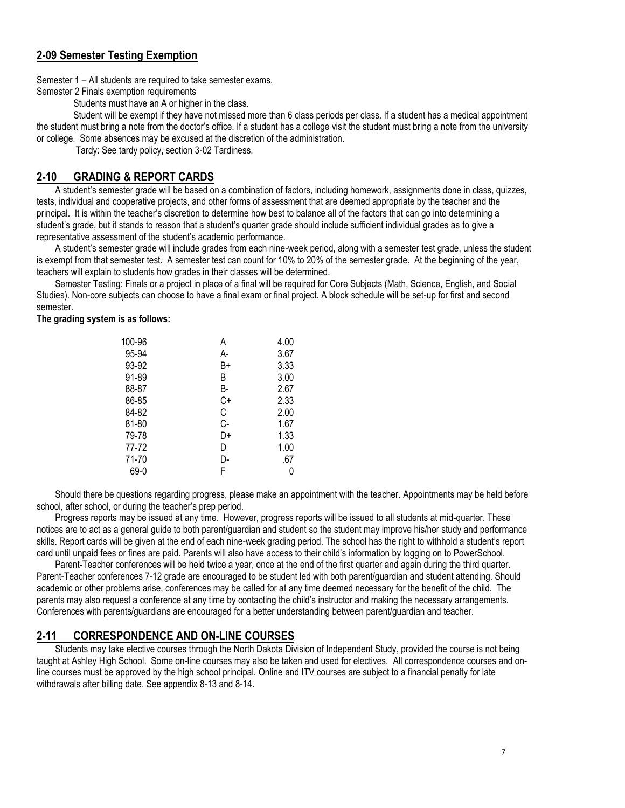## **2-09 Semester Testing Exemption**

Semester 1 – All students are required to take semester exams.

Semester 2 Finals exemption requirements

Students must have an A or higher in the class.

Student will be exempt if they have not missed more than 6 class periods per class. If a student has a medical appointment the student must bring a note from the doctor's office. If a student has a college visit the student must bring a note from the university or college. Some absences may be excused at the discretion of the administration.

Tardy: See tardy policy, section 3-02 Tardiness.

## **2-10 GRADING & REPORT CARDS**

A student's semester grade will be based on a combination of factors, including homework, assignments done in class, quizzes, tests, individual and cooperative projects, and other forms of assessment that are deemed appropriate by the teacher and the principal. It is within the teacher's discretion to determine how best to balance all of the factors that can go into determining a student's grade, but it stands to reason that a student's quarter grade should include sufficient individual grades as to give a representative assessment of the student's academic performance.

A student's semester grade will include grades from each nine-week period, along with a semester test grade, unless the student is exempt from that semester test. A semester test can count for 10% to 20% of the semester grade. At the beginning of the year, teachers will explain to students how grades in their classes will be determined.

Semester Testing: Finals or a project in place of a final will be required for Core Subjects (Math, Science, English, and Social Studies). Non-core subjects can choose to have a final exam or final project. A block schedule will be set-up for first and second semester.

**The grading system is as follows:**

| 100-96 | А  | 4.00 |
|--------|----|------|
| 95-94  | А- | 3.67 |
| 93-92  | B+ | 3.33 |
| 91-89  | B  | 3.00 |
| 88-87  | B- | 2.67 |
| 86-85  | C+ | 2.33 |
| 84-82  | С  | 2.00 |
| 81-80  | C- | 1.67 |
| 79-78  | D+ | 1.33 |
| 77-72  | D  | 1.00 |
| 71-70  | D- | .67  |
| 69-0   | F  | 0    |
|        |    |      |

Should there be questions regarding progress, please make an appointment with the teacher. Appointments may be held before school, after school, or during the teacher's prep period.

Progress reports may be issued at any time. However, progress reports will be issued to all students at mid-quarter. These notices are to act as a general guide to both parent/guardian and student so the student may improve his/her study and performance skills. Report cards will be given at the end of each nine-week grading period. The school has the right to withhold a student's report card until unpaid fees or fines are paid. Parents will also have access to their child's information by logging on to PowerSchool.

Parent-Teacher conferences will be held twice a year, once at the end of the first quarter and again during the third quarter. Parent-Teacher conferences 7-12 grade are encouraged to be student led with both parent/guardian and student attending. Should academic or other problems arise, conferences may be called for at any time deemed necessary for the benefit of the child. The parents may also request a conference at any time by contacting the child's instructor and making the necessary arrangements. Conferences with parents/guardians are encouraged for a better understanding between parent/guardian and teacher.

#### **2-11 CORRESPONDENCE AND ON-LINE COURSES**

Students may take elective courses through the North Dakota Division of Independent Study, provided the course is not being taught at Ashley High School. Some on-line courses may also be taken and used for electives. All correspondence courses and online courses must be approved by the high school principal. Online and ITV courses are subject to a financial penalty for late withdrawals after billing date. See appendix 8-13 and 8-14.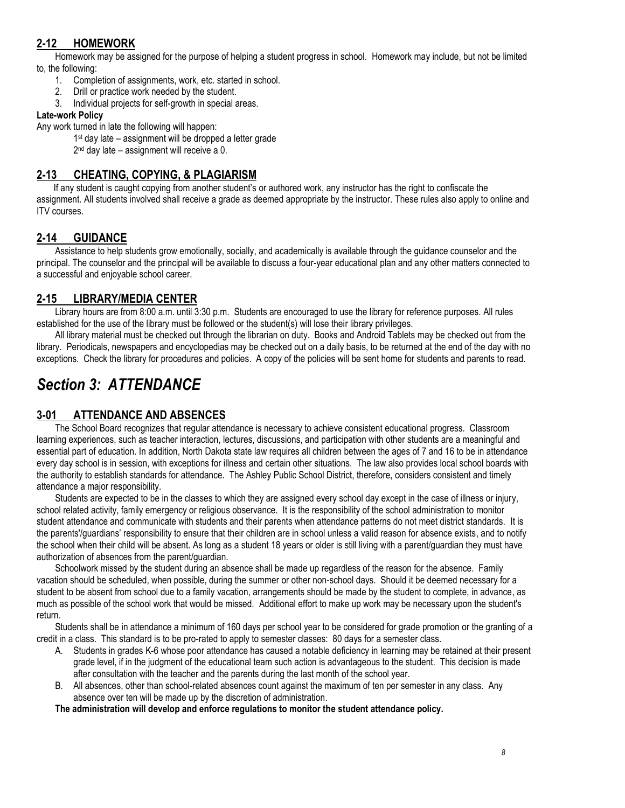# **2-12 HOMEWORK**

Homework may be assigned for the purpose of helping a student progress in school. Homework may include, but not be limited to, the following:

- 1. Completion of assignments, work, etc. started in school.
- 2. Drill or practice work needed by the student.
- 3. Individual projects for self-growth in special areas.

#### **Late-work Policy**

Any work turned in late the following will happen:

1 st day late – assignment will be dropped a letter grade

2<sup>nd</sup> day late – assignment will receive a 0.

#### **2-13 CHEATING, COPYING, & PLAGIARISM**

If any student is caught copying from another student's or authored work, any instructor has the right to confiscate the assignment. All students involved shall receive a grade as deemed appropriate by the instructor. These rules also apply to online and ITV courses.

## **2-14 GUIDANCE**

Assistance to help students grow emotionally, socially, and academically is available through the guidance counselor and the principal. The counselor and the principal will be available to discuss a four-year educational plan and any other matters connected to a successful and enjoyable school career.

## **2-15 LIBRARY/MEDIA CENTER**

Library hours are from 8:00 a.m. until 3:30 p.m. Students are encouraged to use the library for reference purposes. All rules established for the use of the library must be followed or the student(s) will lose their library privileges.

All library material must be checked out through the librarian on duty. Books and Android Tablets may be checked out from the library. Periodicals, newspapers and encyclopedias may be checked out on a daily basis, to be returned at the end of the day with no exceptions. Check the library for procedures and policies. A copy of the policies will be sent home for students and parents to read.

# *Section 3: ATTENDANCE*

## **3-01 ATTENDANCE AND ABSENCES**

The School Board recognizes that regular attendance is necessary to achieve consistent educational progress. Classroom learning experiences, such as teacher interaction, lectures, discussions, and participation with other students are a meaningful and essential part of education. In addition, North Dakota state law requires all children between the ages of 7 and 16 to be in attendance every day school is in session, with exceptions for illness and certain other situations. The law also provides local school boards with the authority to establish standards for attendance. The Ashley Public School District, therefore, considers consistent and timely attendance a major responsibility.

Students are expected to be in the classes to which they are assigned every school day except in the case of illness or injury, school related activity, family emergency or religious observance. It is the responsibility of the school administration to monitor student attendance and communicate with students and their parents when attendance patterns do not meet district standards. It is the parents'/guardians' responsibility to ensure that their children are in school unless a valid reason for absence exists, and to notify the school when their child will be absent. As long as a student 18 years or older is still living with a parent/guardian they must have authorization of absences from the parent/guardian.

Schoolwork missed by the student during an absence shall be made up regardless of the reason for the absence. Family vacation should be scheduled, when possible, during the summer or other non-school days. Should it be deemed necessary for a student to be absent from school due to a family vacation, arrangements should be made by the student to complete, in advance, as much as possible of the school work that would be missed. Additional effort to make up work may be necessary upon the student's return.

Students shall be in attendance a minimum of 160 days per school year to be considered for grade promotion or the granting of a credit in a class. This standard is to be pro-rated to apply to semester classes: 80 days for a semester class.

- A. Students in grades K-6 whose poor attendance has caused a notable deficiency in learning may be retained at their present grade level, if in the judgment of the educational team such action is advantageous to the student. This decision is made after consultation with the teacher and the parents during the last month of the school year.
- B. All absences, other than school-related absences count against the maximum of ten per semester in any class. Any absence over ten will be made up by the discretion of administration.

**The administration will develop and enforce regulations to monitor the student attendance policy.**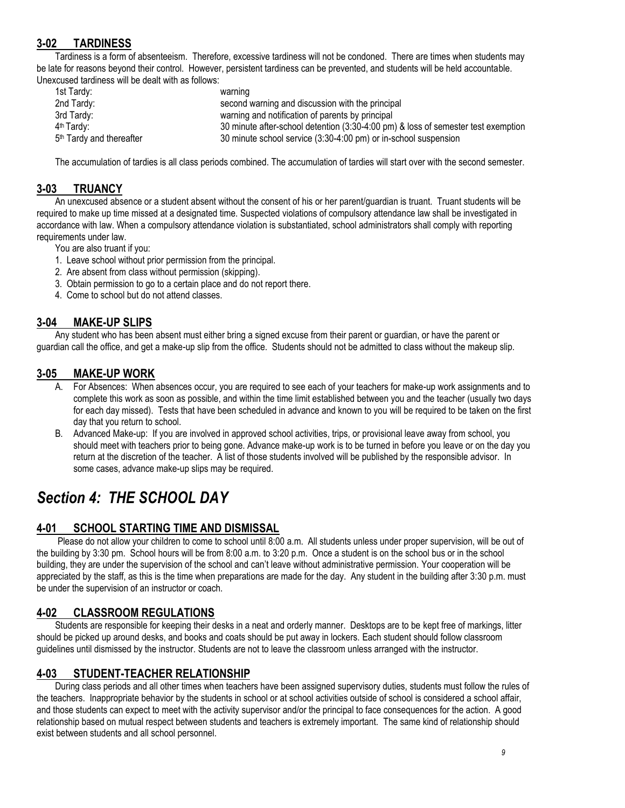# **3-02 TARDINESS**

Tardiness is a form of absenteeism. Therefore, excessive tardiness will not be condoned. There are times when students may be late for reasons beyond their control. However, persistent tardiness can be prevented, and students will be held accountable. Unexcused tardiness will be dealt with as follows:

| 1st Tardy:                           | warning                                                                           |
|--------------------------------------|-----------------------------------------------------------------------------------|
| 2nd Tardy:                           | second warning and discussion with the principal                                  |
| 3rd Tardy:                           | warning and notification of parents by principal                                  |
| 4 <sup>th</sup> Tardy:               | 30 minute after-school detention (3:30-4:00 pm) & loss of semester test exemption |
| 5 <sup>th</sup> Tardy and thereafter | 30 minute school service (3:30-4:00 pm) or in-school suspension                   |

The accumulation of tardies is all class periods combined. The accumulation of tardies will start over with the second semester.

#### **3-03 TRUANCY**

An unexcused absence or a student absent without the consent of his or her parent/guardian is truant. Truant students will be required to make up time missed at a designated time. Suspected violations of compulsory attendance law shall be investigated in accordance with law. When a compulsory attendance violation is substantiated, school administrators shall comply with reporting requirements under law.

You are also truant if you:

- 1. Leave school without prior permission from the principal.
- 2. Are absent from class without permission (skipping).
- 3. Obtain permission to go to a certain place and do not report there.
- 4. Come to school but do not attend classes.

#### **3-04 MAKE-UP SLIPS**

Any student who has been absent must either bring a signed excuse from their parent or guardian, or have the parent or guardian call the office, and get a make-up slip from the office. Students should not be admitted to class without the makeup slip.

#### **3-05 MAKE-UP WORK**

- A. For Absences: When absences occur, you are required to see each of your teachers for make-up work assignments and to complete this work as soon as possible, and within the time limit established between you and the teacher (usually two days for each day missed). Tests that have been scheduled in advance and known to you will be required to be taken on the first day that you return to school.
- B. Advanced Make-up: If you are involved in approved school activities, trips, or provisional leave away from school, you should meet with teachers prior to being gone. Advance make-up work is to be turned in before you leave or on the day you return at the discretion of the teacher. A list of those students involved will be published by the responsible advisor. In some cases, advance make-up slips may be required.

# *Section 4: THE SCHOOL DAY*

#### **4-01 SCHOOL STARTING TIME AND DISMISSAL**

 Please do not allow your children to come to school until 8:00 a.m. All students unless under proper supervision, will be out of the building by 3:30 pm. School hours will be from 8:00 a.m. to 3:20 p.m. Once a student is on the school bus or in the school building, they are under the supervision of the school and can't leave without administrative permission. Your cooperation will be appreciated by the staff, as this is the time when preparations are made for the day. Any student in the building after 3:30 p.m. must be under the supervision of an instructor or coach.

## **4-02 CLASSROOM REGULATIONS**

Students are responsible for keeping their desks in a neat and orderly manner. Desktops are to be kept free of markings, litter should be picked up around desks, and books and coats should be put away in lockers. Each student should follow classroom guidelines until dismissed by the instructor. Students are not to leave the classroom unless arranged with the instructor.

## **4-03 STUDENT-TEACHER RELATIONSHIP**

During class periods and all other times when teachers have been assigned supervisory duties, students must follow the rules of the teachers. Inappropriate behavior by the students in school or at school activities outside of school is considered a school affair, and those students can expect to meet with the activity supervisor and/or the principal to face consequences for the action. A good relationship based on mutual respect between students and teachers is extremely important. The same kind of relationship should exist between students and all school personnel.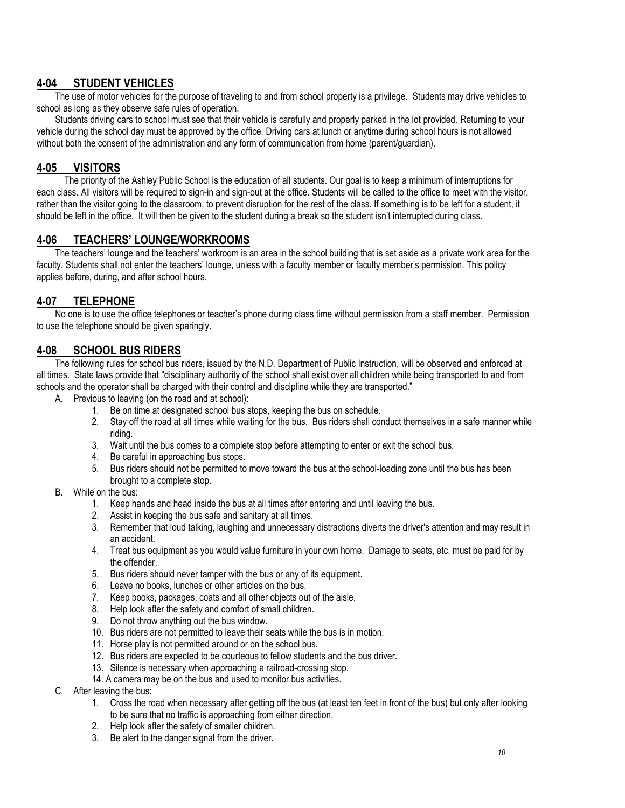# **4-04 STUDENT VEHICLES**

The use of motor vehicles for the purpose of traveling to and from school property is a privilege. Students may drive vehicles to school as long as they observe safe rules of operation.

Students driving cars to school must see that their vehicle is carefully and properly parked in the lot provided. Returning to your vehicle during the school day must be approved by the office. Driving cars at lunch or anytime during school hours is not allowed without both the consent of the administration and any form of communication from home (parent/guardian).

## **4-05 VISITORS**

 The priority of the Ashley Public School is the education of all students. Our goal is to keep a minimum of interruptions for each class. All visitors will be required to sign-in and sign-out at the office. Students will be called to the office to meet with the visitor, rather than the visitor going to the classroom, to prevent disruption for the rest of the class. If something is to be left for a student, it should be left in the office. It will then be given to the student during a break so the student isn't interrupted during class.

## **4-06 TEACHERS' LOUNGE/WORKROOMS**

The teachers' lounge and the teachers' workroom is an area in the school building that is set aside as a private work area for the faculty. Students shall not enter the teachers' lounge, unless with a faculty member or faculty member's permission. This policy applies before, during, and after school hours.

## **4-07 TELEPHONE**

No one is to use the office telephones or teacher's phone during class time without permission from a staff member. Permission to use the telephone should be given sparingly.

#### **4-08 SCHOOL BUS RIDERS**

The following rules for school bus riders, issued by the N.D. Department of Public Instruction, will be observed and enforced at all times. State laws provide that "disciplinary authority of the school shall exist over all children while being transported to and from schools and the operator shall be charged with their control and discipline while they are transported."

- A. Previous to leaving (on the road and at school):
	- 1. Be on time at designated school bus stops, keeping the bus on schedule.
	- 2. Stay off the road at all times while waiting for the bus. Bus riders shall conduct themselves in a safe manner while riding.
	- 3. Wait until the bus comes to a complete stop before attempting to enter or exit the school bus.
	- 4. Be careful in approaching bus stops.
	- 5. Bus riders should not be permitted to move toward the bus at the school-loading zone until the bus has been brought to a complete stop.
- B. While on the bus:
	- 1. Keep hands and head inside the bus at all times after entering and until leaving the bus.
	- 2. Assist in keeping the bus safe and sanitary at all times.
	- 3. Remember that loud talking, laughing and unnecessary distractions diverts the driver's attention and may result in an accident.
	- 4. Treat bus equipment as you would value furniture in your own home. Damage to seats, etc. must be paid for by the offender.
	- 5. Bus riders should never tamper with the bus or any of its equipment.
	- 6. Leave no books, lunches or other articles on the bus.
	- 7. Keep books, packages, coats and all other objects out of the aisle.
	- 8. Help look after the safety and comfort of small children.
	- 9. Do not throw anything out the bus window.
	- 10. Bus riders are not permitted to leave their seats while the bus is in motion.
	- 11. Horse play is not permitted around or on the school bus.
	- 12. Bus riders are expected to be courteous to fellow students and the bus driver.
	- 13. Silence is necessary when approaching a railroad-crossing stop.
	- 14. A camera may be on the bus and used to monitor bus activities.
- C. After leaving the bus:
	- 1. Cross the road when necessary after getting off the bus (at least ten feet in front of the bus) but only after looking to be sure that no traffic is approaching from either direction.
	- 2. Help look after the safety of smaller children.
	- 3. Be alert to the danger signal from the driver.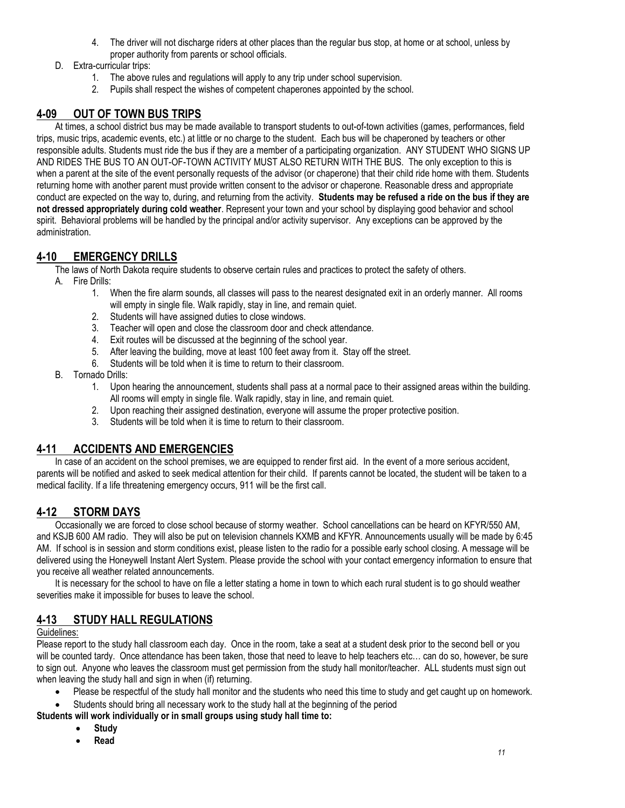- 4. The driver will not discharge riders at other places than the regular bus stop, at home or at school, unless by proper authority from parents or school officials.
- D. Extra-curricular trips:
	- 1. The above rules and regulations will apply to any trip under school supervision.
	- 2. Pupils shall respect the wishes of competent chaperones appointed by the school.

# **4-09 OUT OF TOWN BUS TRIPS**

At times, a school district bus may be made available to transport students to out-of-town activities (games, performances, field trips, music trips, academic events, etc.) at little or no charge to the student. Each bus will be chaperoned by teachers or other responsible adults. Students must ride the bus if they are a member of a participating organization. ANY STUDENT WHO SIGNS UP AND RIDES THE BUS TO AN OUT-OF-TOWN ACTIVITY MUST ALSO RETURN WITH THE BUS. The only exception to this is when a parent at the site of the event personally requests of the advisor (or chaperone) that their child ride home with them. Students returning home with another parent must provide written consent to the advisor or chaperone. Reasonable dress and appropriate conduct are expected on the way to, during, and returning from the activity. **Students may be refused a ride on the bus if they are not dressed appropriately during cold weather**. Represent your town and your school by displaying good behavior and school spirit. Behavioral problems will be handled by the principal and/or activity supervisor. Any exceptions can be approved by the administration.

# **4-10 EMERGENCY DRILLS**

The laws of North Dakota require students to observe certain rules and practices to protect the safety of others.

- A. Fire Drills:
	- 1. When the fire alarm sounds, all classes will pass to the nearest designated exit in an orderly manner. All rooms will empty in single file. Walk rapidly, stay in line, and remain quiet.
	- 2. Students will have assigned duties to close windows.
	- 3. Teacher will open and close the classroom door and check attendance.
	- 4. Exit routes will be discussed at the beginning of the school year.
	- 5. After leaving the building, move at least 100 feet away from it. Stay off the street.
	- 6. Students will be told when it is time to return to their classroom.
- B. Tornado Drills:
	- 1. Upon hearing the announcement, students shall pass at a normal pace to their assigned areas within the building. All rooms will empty in single file. Walk rapidly, stay in line, and remain quiet.
	- 2. Upon reaching their assigned destination, everyone will assume the proper protective position.
	- 3. Students will be told when it is time to return to their classroom.

# **4-11 ACCIDENTS AND EMERGENCIES**

In case of an accident on the school premises, we are equipped to render first aid. In the event of a more serious accident, parents will be notified and asked to seek medical attention for their child. If parents cannot be located, the student will be taken to a medical facility. If a life threatening emergency occurs, 911 will be the first call.

# **4-12 STORM DAYS**

Occasionally we are forced to close school because of stormy weather. School cancellations can be heard on KFYR/550 AM, and KSJB 600 AM radio. They will also be put on television channels KXMB and KFYR. Announcements usually will be made by 6:45 AM. If school is in session and storm conditions exist, please listen to the radio for a possible early school closing. A message will be delivered using the Honeywell Instant Alert System. Please provide the school with your contact emergency information to ensure that you receive all weather related announcements.

It is necessary for the school to have on file a letter stating a home in town to which each rural student is to go should weather severities make it impossible for buses to leave the school.

# **4-13 STUDY HALL REGULATIONS**

#### Guidelines:

Please report to the study hall classroom each day. Once in the room, take a seat at a student desk prior to the second bell or you will be counted tardy. Once attendance has been taken, those that need to leave to help teachers etc... can do so, however, be sure to sign out. Anyone who leaves the classroom must get permission from the study hall monitor/teacher. ALL students must sign out when leaving the study hall and sign in when (if) returning.

- Please be respectful of the study hall monitor and the students who need this time to study and get caught up on homework.
- Students should bring all necessary work to the study hall at the beginning of the period

#### **Students will work individually or in small groups using study hall time to:**

- **Study**
- **Read**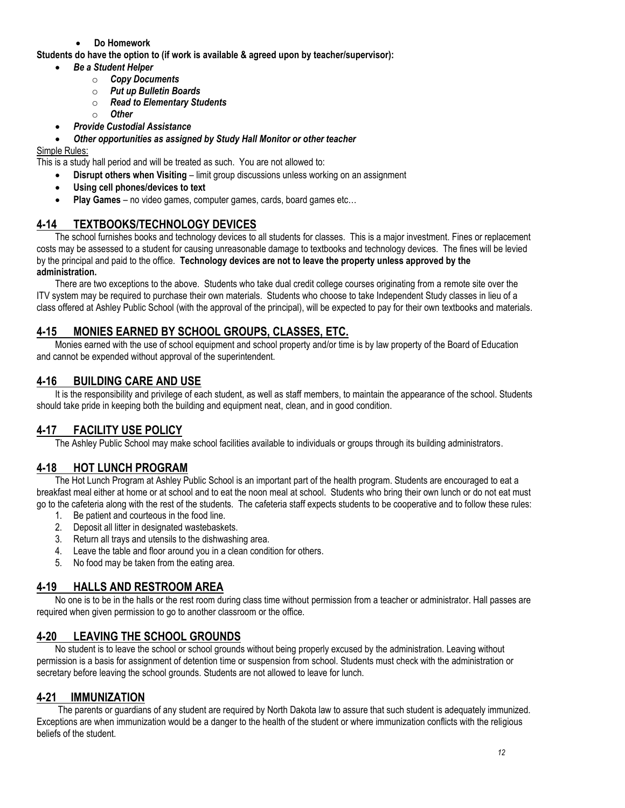**Do Homework**

**Students do have the option to (if work is available & agreed upon by teacher/supervisor):**

- *Be a Student Helper*
	- o *Copy Documents*
	- o *Put up Bulletin Boards*
	- o *Read to Elementary Students*
	- o *Other*
	- *Provide Custodial Assistance*
- *Other opportunities as assigned by Study Hall Monitor or other teacher*

#### Simple Rules:

This is a study hall period and will be treated as such. You are not allowed to:

- **Disrupt others when Visiting** limit group discussions unless working on an assignment
- **Using cell phones/devices to text**
- **Play Games** no video games, computer games, cards, board games etc…

## **4-14 TEXTBOOKS/TECHNOLOGY DEVICES**

The school furnishes books and technology devices to all students for classes. This is a major investment. Fines or replacement costs may be assessed to a student for causing unreasonable damage to textbooks and technology devices. The fines will be levied by the principal and paid to the office. **Technology devices are not to leave the property unless approved by the administration.**

There are two exceptions to the above. Students who take dual credit college courses originating from a remote site over the ITV system may be required to purchase their own materials. Students who choose to take Independent Study classes in lieu of a class offered at Ashley Public School (with the approval of the principal), will be expected to pay for their own textbooks and materials.

# **4-15 MONIES EARNED BY SCHOOL GROUPS, CLASSES, ETC.**

Monies earned with the use of school equipment and school property and/or time is by law property of the Board of Education and cannot be expended without approval of the superintendent.

## **4-16 BUILDING CARE AND USE**

It is the responsibility and privilege of each student, as well as staff members, to maintain the appearance of the school. Students should take pride in keeping both the building and equipment neat, clean, and in good condition.

# **4-17 FACILITY USE POLICY**

The Ashley Public School may make school facilities available to individuals or groups through its building administrators.

# **4-18 HOT LUNCH PROGRAM**

The Hot Lunch Program at Ashley Public School is an important part of the health program. Students are encouraged to eat a breakfast meal either at home or at school and to eat the noon meal at school. Students who bring their own lunch or do not eat must go to the cafeteria along with the rest of the students. The cafeteria staff expects students to be cooperative and to follow these rules:

- 1. Be patient and courteous in the food line.
- 2. Deposit all litter in designated wastebaskets.
- 3. Return all trays and utensils to the dishwashing area.
- 4. Leave the table and floor around you in a clean condition for others.
- 5. No food may be taken from the eating area.

# **4-19 HALLS AND RESTROOM AREA**

No one is to be in the halls or the rest room during class time without permission from a teacher or administrator. Hall passes are required when given permission to go to another classroom or the office.

# **4-20 LEAVING THE SCHOOL GROUNDS**

No student is to leave the school or school grounds without being properly excused by the administration. Leaving without permission is a basis for assignment of detention time or suspension from school. Students must check with the administration or secretary before leaving the school grounds. Students are not allowed to leave for lunch.

# **4-21 IMMUNIZATION**

The parents or guardians of any student are required by North Dakota law to assure that such student is adequately immunized. Exceptions are when immunization would be a danger to the health of the student or where immunization conflicts with the religious beliefs of the student.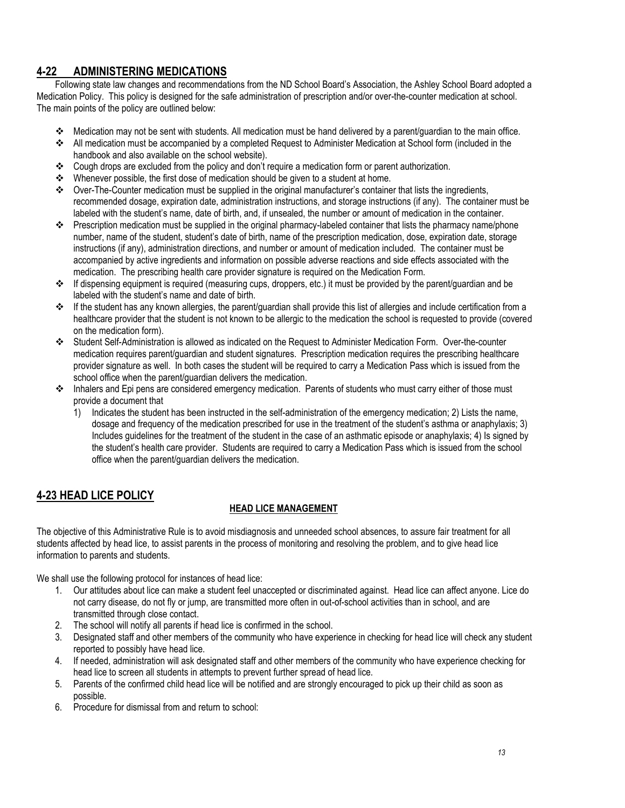# **4-22 ADMINISTERING MEDICATIONS**

Following state law changes and recommendations from the ND School Board's Association, the Ashley School Board adopted a Medication Policy. This policy is designed for the safe administration of prescription and/or over-the-counter medication at school. The main points of the policy are outlined below:

- Medication may not be sent with students. All medication must be hand delivered by a parent/guardian to the main office.
- All medication must be accompanied by a completed Request to Administer Medication at School form (included in the handbook and also available on the school website).
- $\div$  Cough drops are excluded from the policy and don't require a medication form or parent authorization.
- ◆ Whenever possible, the first dose of medication should be given to a student at home.
- Over-The-Counter medication must be supplied in the original manufacturer's container that lists the ingredients, recommended dosage, expiration date, administration instructions, and storage instructions (if any). The container must be labeled with the student's name, date of birth, and, if unsealed, the number or amount of medication in the container.
- $\div$  Prescription medication must be supplied in the original pharmacy-labeled container that lists the pharmacy name/phone number, name of the student, student's date of birth, name of the prescription medication, dose, expiration date, storage instructions (if any), administration directions, and number or amount of medication included. The container must be accompanied by active ingredients and information on possible adverse reactions and side effects associated with the medication. The prescribing health care provider signature is required on the Medication Form.
- $\div$  If dispensing equipment is required (measuring cups, droppers, etc.) it must be provided by the parent/quardian and be labeled with the student's name and date of birth.
- $\cdot \cdot$  If the student has any known allergies, the parent/guardian shall provide this list of allergies and include certification from a healthcare provider that the student is not known to be allergic to the medication the school is requested to provide (covered on the medication form).
- Student Self-Administration is allowed as indicated on the Request to Administer Medication Form. Over-the-counter medication requires parent/guardian and student signatures. Prescription medication requires the prescribing healthcare provider signature as well. In both cases the student will be required to carry a Medication Pass which is issued from the school office when the parent/guardian delivers the medication.
- Inhalers and Epi pens are considered emergency medication. Parents of students who must carry either of those must provide a document that
	- 1) Indicates the student has been instructed in the self-administration of the emergency medication; 2) Lists the name, dosage and frequency of the medication prescribed for use in the treatment of the student's asthma or anaphylaxis; 3) Includes guidelines for the treatment of the student in the case of an asthmatic episode or anaphylaxis; 4) Is signed by the student's health care provider. Students are required to carry a Medication Pass which is issued from the school office when the parent/guardian delivers the medication.

# **4-23 HEAD LICE POLICY**

## **HEAD LICE MANAGEMENT**

The objective of this Administrative Rule is to avoid misdiagnosis and unneeded school absences, to assure fair treatment for all students affected by head lice, to assist parents in the process of monitoring and resolving the problem, and to give head lice information to parents and students.

We shall use the following protocol for instances of head lice:

- 1. Our attitudes about lice can make a student feel unaccepted or discriminated against. Head lice can affect anyone. Lice do not carry disease, do not fly or jump, are transmitted more often in out-of-school activities than in school, and are transmitted through close contact.
- 2. The school will notify all parents if head lice is confirmed in the school.
- 3. Designated staff and other members of the community who have experience in checking for head lice will check any student reported to possibly have head lice.
- 4. If needed, administration will ask designated staff and other members of the community who have experience checking for head lice to screen all students in attempts to prevent further spread of head lice.
- 5. Parents of the confirmed child head lice will be notified and are strongly encouraged to pick up their child as soon as possible.
- 6. Procedure for dismissal from and return to school: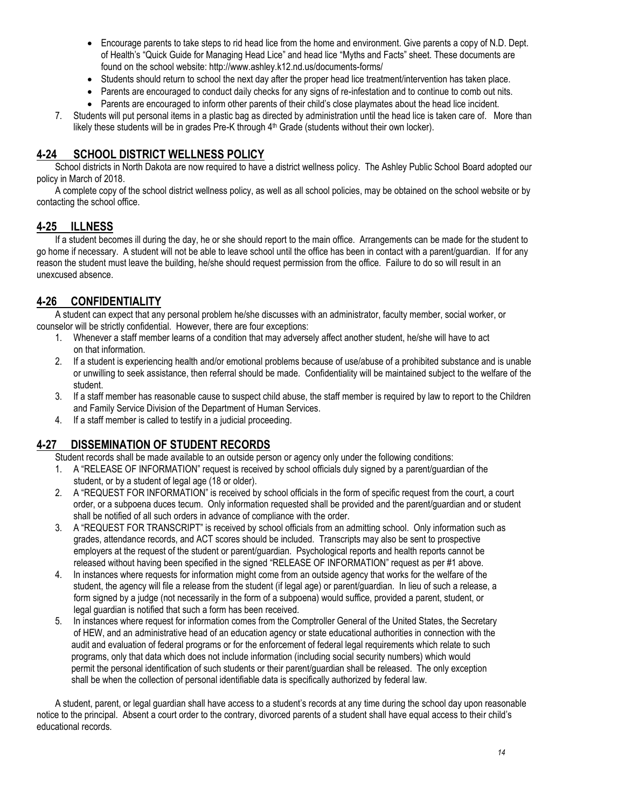- Encourage parents to take steps to rid head lice from the home and environment. Give parents a copy of N.D. Dept. of Health's "Quick Guide for Managing Head Lice" and head lice "Myths and Facts" sheet. These documents are found on the school website: http://www.ashley.k12.nd.us/documents-forms/
- Students should return to school the next day after the proper head lice treatment/intervention has taken place.
- Parents are encouraged to conduct daily checks for any signs of re-infestation and to continue to comb out nits.
- Parents are encouraged to inform other parents of their child's close playmates about the head lice incident.
- 7. Students will put personal items in a plastic bag as directed by administration until the head lice is taken care of. More than likely these students will be in grades Pre-K through 4<sup>th</sup> Grade (students without their own locker).

## **4-24 SCHOOL DISTRICT WELLNESS POLICY**

School districts in North Dakota are now required to have a district wellness policy. The Ashley Public School Board adopted our policy in March of 2018.

A complete copy of the school district wellness policy, as well as all school policies, may be obtained on the school website or by contacting the school office.

## **4-25 ILLNESS**

If a student becomes ill during the day, he or she should report to the main office. Arrangements can be made for the student to go home if necessary. A student will not be able to leave school until the office has been in contact with a parent/guardian. If for any reason the student must leave the building, he/she should request permission from the office. Failure to do so will result in an unexcused absence.

# **4-26 CONFIDENTIALITY**

A student can expect that any personal problem he/she discusses with an administrator, faculty member, social worker, or counselor will be strictly confidential. However, there are four exceptions:

- 1. Whenever a staff member learns of a condition that may adversely affect another student, he/she will have to act on that information.
- 2. If a student is experiencing health and/or emotional problems because of use/abuse of a prohibited substance and is unable or unwilling to seek assistance, then referral should be made. Confidentiality will be maintained subject to the welfare of the student.
- 3. If a staff member has reasonable cause to suspect child abuse, the staff member is required by law to report to the Children and Family Service Division of the Department of Human Services.
- 4. If a staff member is called to testify in a judicial proceeding.

## **4-27 DISSEMINATION OF STUDENT RECORDS**

Student records shall be made available to an outside person or agency only under the following conditions:

- 1. A "RELEASE OF INFORMATION" request is received by school officials duly signed by a parent/guardian of the student, or by a student of legal age (18 or older).
- 2. A "REQUEST FOR INFORMATION" is received by school officials in the form of specific request from the court, a court order, or a subpoena duces tecum. Only information requested shall be provided and the parent/guardian and or student shall be notified of all such orders in advance of compliance with the order.
- 3. A "REQUEST FOR TRANSCRIPT" is received by school officials from an admitting school. Only information such as grades, attendance records, and ACT scores should be included. Transcripts may also be sent to prospective employers at the request of the student or parent/guardian. Psychological reports and health reports cannot be released without having been specified in the signed "RELEASE OF INFORMATION" request as per #1 above.
- 4. In instances where requests for information might come from an outside agency that works for the welfare of the student, the agency will file a release from the student (if legal age) or parent/guardian. In lieu of such a release, a form signed by a judge (not necessarily in the form of a subpoena) would suffice, provided a parent, student, or legal guardian is notified that such a form has been received.
- 5. In instances where request for information comes from the Comptroller General of the United States, the Secretary of HEW, and an administrative head of an education agency or state educational authorities in connection with the audit and evaluation of federal programs or for the enforcement of federal legal requirements which relate to such programs, only that data which does not include information (including social security numbers) which would permit the personal identification of such students or their parent/guardian shall be released. The only exception shall be when the collection of personal identifiable data is specifically authorized by federal law.

A student, parent, or legal guardian shall have access to a student's records at any time during the school day upon reasonable notice to the principal. Absent a court order to the contrary, divorced parents of a student shall have equal access to their child's educational records.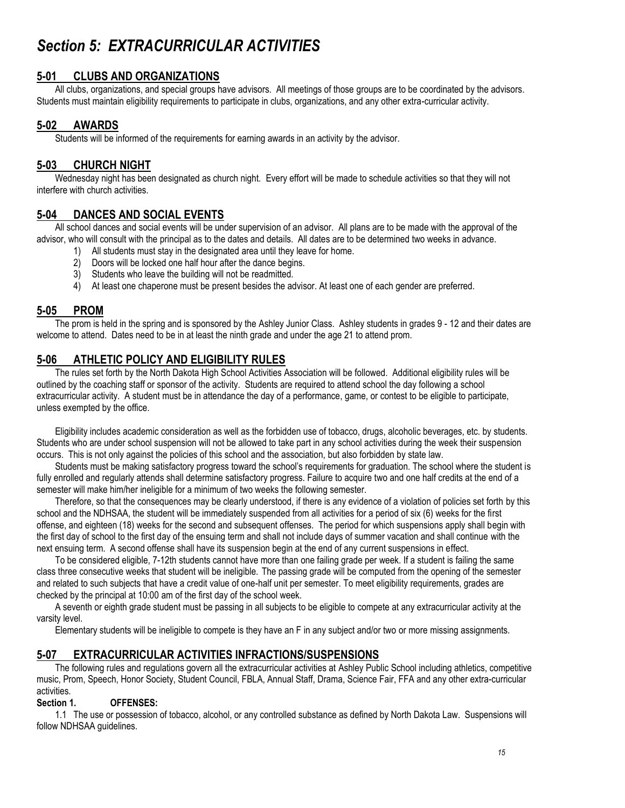# *Section 5: EXTRACURRICULAR ACTIVITIES*

## **5-01 CLUBS AND ORGANIZATIONS**

All clubs, organizations, and special groups have advisors. All meetings of those groups are to be coordinated by the advisors. Students must maintain eligibility requirements to participate in clubs, organizations, and any other extra-curricular activity.

## **5-02 AWARDS**

Students will be informed of the requirements for earning awards in an activity by the advisor.

## **5-03 CHURCH NIGHT**

Wednesday night has been designated as church night. Every effort will be made to schedule activities so that they will not interfere with church activities.

#### **5-04 DANCES AND SOCIAL EVENTS**

All school dances and social events will be under supervision of an advisor. All plans are to be made with the approval of the advisor, who will consult with the principal as to the dates and details. All dates are to be determined two weeks in advance.

- All students must stay in the designated area until they leave for home.
- 2) Doors will be locked one half hour after the dance begins.
- 3) Students who leave the building will not be readmitted.
- 4) At least one chaperone must be present besides the advisor. At least one of each gender are preferred.

#### **5-05 PROM**

The prom is held in the spring and is sponsored by the Ashley Junior Class. Ashley students in grades 9 - 12 and their dates are welcome to attend. Dates need to be in at least the ninth grade and under the age 21 to attend prom.

#### **5-06 ATHLETIC POLICY AND ELIGIBILITY RULES**

The rules set forth by the North Dakota High School Activities Association will be followed. Additional eligibility rules will be outlined by the coaching staff or sponsor of the activity. Students are required to attend school the day following a school extracurricular activity. A student must be in attendance the day of a performance, game, or contest to be eligible to participate, unless exempted by the office.

Eligibility includes academic consideration as well as the forbidden use of tobacco, drugs, alcoholic beverages, etc. by students. Students who are under school suspension will not be allowed to take part in any school activities during the week their suspension occurs. This is not only against the policies of this school and the association, but also forbidden by state law.

Students must be making satisfactory progress toward the school's requirements for graduation. The school where the student is fully enrolled and regularly attends shall determine satisfactory progress. Failure to acquire two and one half credits at the end of a semester will make him/her ineligible for a minimum of two weeks the following semester.

Therefore, so that the consequences may be clearly understood, if there is any evidence of a violation of policies set forth by this school and the NDHSAA, the student will be immediately suspended from all activities for a period of six (6) weeks for the first offense, and eighteen (18) weeks for the second and subsequent offenses. The period for which suspensions apply shall begin with the first day of school to the first day of the ensuing term and shall not include days of summer vacation and shall continue with the next ensuing term. A second offense shall have its suspension begin at the end of any current suspensions in effect.

To be considered eligible, 7-12th students cannot have more than one failing grade per week. If a student is failing the same class three consecutive weeks that student will be ineligible. The passing grade will be computed from the opening of the semester and related to such subjects that have a credit value of one-half unit per semester. To meet eligibility requirements, grades are checked by the principal at 10:00 am of the first day of the school week.

A seventh or eighth grade student must be passing in all subjects to be eligible to compete at any extracurricular activity at the varsity level.

Elementary students will be ineligible to compete is they have an F in any subject and/or two or more missing assignments.

## **5-07 EXTRACURRICULAR ACTIVITIES INFRACTIONS/SUSPENSIONS**

The following rules and regulations govern all the extracurricular activities at Ashley Public School including athletics, competitive music, Prom, Speech, Honor Society, Student Council, FBLA, Annual Staff, Drama, Science Fair, FFA and any other extra-curricular activities.

#### **Section 1. OFFENSES:**

1.1 The use or possession of tobacco, alcohol, or any controlled substance as defined by North Dakota Law. Suspensions will follow NDHSAA guidelines.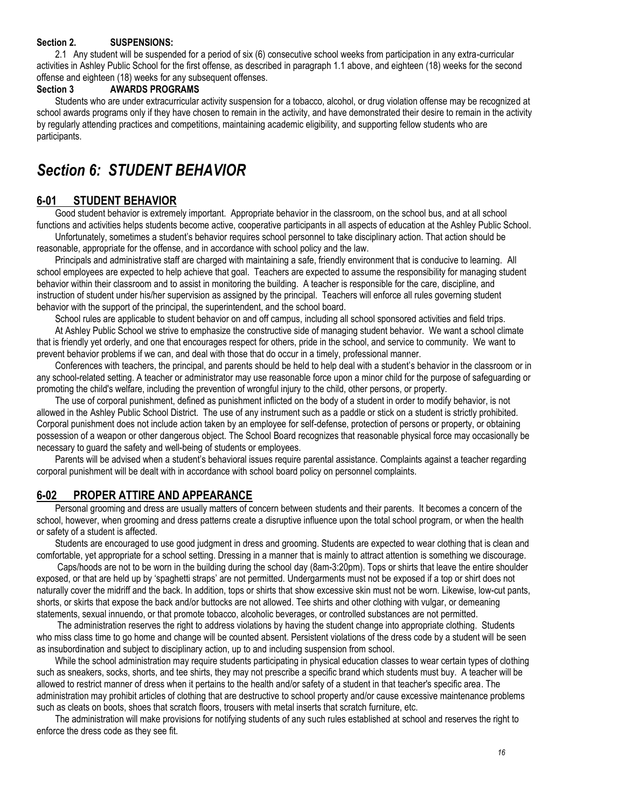#### **Section 2. SUSPENSIONS:**

2.1 Any student will be suspended for a period of six (6) consecutive school weeks from participation in any extra-curricular activities in Ashley Public School for the first offense, as described in paragraph 1.1 above, and eighteen (18) weeks for the second offense and eighteen (18) weeks for any subsequent offenses.

#### **Section 3 AWARDS PROGRAMS**

Students who are under extracurricular activity suspension for a tobacco, alcohol, or drug violation offense may be recognized at school awards programs only if they have chosen to remain in the activity, and have demonstrated their desire to remain in the activity by regularly attending practices and competitions, maintaining academic eligibility, and supporting fellow students who are participants.

# *Section 6: STUDENT BEHAVIOR*

## **6-01 STUDENT BEHAVIOR**

Good student behavior is extremely important. Appropriate behavior in the classroom, on the school bus, and at all school functions and activities helps students become active, cooperative participants in all aspects of education at the Ashley Public School. Unfortunately, sometimes a student's behavior requires school personnel to take disciplinary action. That action should be

reasonable, appropriate for the offense, and in accordance with school policy and the law.

Principals and administrative staff are charged with maintaining a safe, friendly environment that is conducive to learning. All school employees are expected to help achieve that goal. Teachers are expected to assume the responsibility for managing student behavior within their classroom and to assist in monitoring the building. A teacher is responsible for the care, discipline, and instruction of student under his/her supervision as assigned by the principal. Teachers will enforce all rules governing student behavior with the support of the principal, the superintendent, and the school board.

School rules are applicable to student behavior on and off campus, including all school sponsored activities and field trips. At Ashley Public School we strive to emphasize the constructive side of managing student behavior. We want a school climate that is friendly yet orderly, and one that encourages respect for others, pride in the school, and service to community. We want to prevent behavior problems if we can, and deal with those that do occur in a timely, professional manner.

Conferences with teachers, the principal, and parents should be held to help deal with a student's behavior in the classroom or in any school-related setting. A teacher or administrator may use reasonable force upon a minor child for the purpose of safeguarding or promoting the child's welfare, including the prevention of wrongful injury to the child, other persons, or property.

The use of corporal punishment, defined as punishment inflicted on the body of a student in order to modify behavior, is not allowed in the Ashley Public School District. The use of any instrument such as a paddle or stick on a student is strictly prohibited. Corporal punishment does not include action taken by an employee for self-defense, protection of persons or property, or obtaining possession of a weapon or other dangerous object. The School Board recognizes that reasonable physical force may occasionally be necessary to guard the safety and well-being of students or employees.

Parents will be advised when a student's behavioral issues require parental assistance. Complaints against a teacher regarding corporal punishment will be dealt with in accordance with school board policy on personnel complaints.

#### **6-02 PROPER ATTIRE AND APPEARANCE**

Personal grooming and dress are usually matters of concern between students and their parents. It becomes a concern of the school, however, when grooming and dress patterns create a disruptive influence upon the total school program, or when the health or safety of a student is affected.

Students are encouraged to use good judgment in dress and grooming. Students are expected to wear clothing that is clean and comfortable, yet appropriate for a school setting. Dressing in a manner that is mainly to attract attention is something we discourage.

Caps/hoods are not to be worn in the building during the school day (8am-3:20pm). Tops or shirts that leave the entire shoulder exposed, or that are held up by 'spaghetti straps' are not permitted. Undergarments must not be exposed if a top or shirt does not naturally cover the midriff and the back. In addition, tops or shirts that show excessive skin must not be worn. Likewise, low-cut pants, shorts, or skirts that expose the back and/or buttocks are not allowed. Tee shirts and other clothing with vulgar, or demeaning statements, sexual innuendo, or that promote tobacco, alcoholic beverages, or controlled substances are not permitted.

The administration reserves the right to address violations by having the student change into appropriate clothing. Students who miss class time to go home and change will be counted absent. Persistent violations of the dress code by a student will be seen as insubordination and subject to disciplinary action, up to and including suspension from school.

While the school administration may require students participating in physical education classes to wear certain types of clothing such as sneakers, socks, shorts, and tee shirts, they may not prescribe a specific brand which students must buy. A teacher will be allowed to restrict manner of dress when it pertains to the health and/or safety of a student in that teacher's specific area. The administration may prohibit articles of clothing that are destructive to school property and/or cause excessive maintenance problems such as cleats on boots, shoes that scratch floors, trousers with metal inserts that scratch furniture, etc.

The administration will make provisions for notifying students of any such rules established at school and reserves the right to enforce the dress code as they see fit.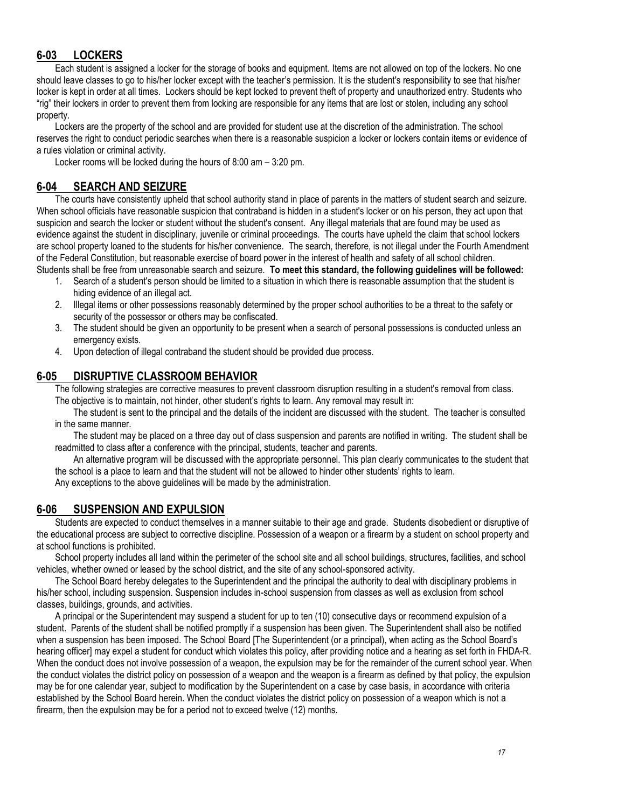# **6-03 LOCKERS**

Each student is assigned a locker for the storage of books and equipment. Items are not allowed on top of the lockers. No one should leave classes to go to his/her locker except with the teacher's permission. It is the student's responsibility to see that his/her locker is kept in order at all times. Lockers should be kept locked to prevent theft of property and unauthorized entry. Students who "rig" their lockers in order to prevent them from locking are responsible for any items that are lost or stolen, including any school property.

Lockers are the property of the school and are provided for student use at the discretion of the administration. The school reserves the right to conduct periodic searches when there is a reasonable suspicion a locker or lockers contain items or evidence of a rules violation or criminal activity.

Locker rooms will be locked during the hours of 8:00 am – 3:20 pm.

## **6-04 SEARCH AND SEIZURE**

The courts have consistently upheld that school authority stand in place of parents in the matters of student search and seizure. When school officials have reasonable suspicion that contraband is hidden in a student's locker or on his person, they act upon that suspicion and search the locker or student without the student's consent. Any illegal materials that are found may be used as evidence against the student in disciplinary, juvenile or criminal proceedings. The courts have upheld the claim that school lockers are school property loaned to the students for his/her convenience. The search, therefore, is not illegal under the Fourth Amendment of the Federal Constitution, but reasonable exercise of board power in the interest of health and safety of all school children. Students shall be free from unreasonable search and seizure. **To meet this standard, the following guidelines will be followed:**

- 1. Search of a student's person should be limited to a situation in which there is reasonable assumption that the student is hiding evidence of an illegal act.
- 2. Illegal items or other possessions reasonably determined by the proper school authorities to be a threat to the safety or security of the possessor or others may be confiscated.
- 3. The student should be given an opportunity to be present when a search of personal possessions is conducted unless an emergency exists.
- 4. Upon detection of illegal contraband the student should be provided due process.

## **6-05 DISRUPTIVE CLASSROOM BEHAVIOR**

The following strategies are corrective measures to prevent classroom disruption resulting in a student's removal from class. The objective is to maintain, not hinder, other student's rights to learn. Any removal may result in:

The student is sent to the principal and the details of the incident are discussed with the student. The teacher is consulted in the same manner.

The student may be placed on a three day out of class suspension and parents are notified in writing. The student shall be readmitted to class after a conference with the principal, students, teacher and parents.

An alternative program will be discussed with the appropriate personnel. This plan clearly communicates to the student that the school is a place to learn and that the student will not be allowed to hinder other students' rights to learn. Any exceptions to the above guidelines will be made by the administration.

## **6-06 SUSPENSION AND EXPULSION**

Students are expected to conduct themselves in a manner suitable to their age and grade. Students disobedient or disruptive of the educational process are subject to corrective discipline. Possession of a weapon or a firearm by a student on school property and at school functions is prohibited.

School property includes all land within the perimeter of the school site and all school buildings, structures, facilities, and school vehicles, whether owned or leased by the school district, and the site of any school-sponsored activity.

The School Board hereby delegates to the Superintendent and the principal the authority to deal with disciplinary problems in his/her school, including suspension. Suspension includes in-school suspension from classes as well as exclusion from school classes, buildings, grounds, and activities.

A principal or the Superintendent may suspend a student for up to ten (10) consecutive days or recommend expulsion of a student. Parents of the student shall be notified promptly if a suspension has been given. The Superintendent shall also be notified when a suspension has been imposed. The School Board [The Superintendent (or a principal), when acting as the School Board's hearing officer] may expel a student for conduct which violates this policy, after providing notice and a hearing as set forth in FHDA-R. When the conduct does not involve possession of a weapon, the expulsion may be for the remainder of the current school year. When the conduct violates the district policy on possession of a weapon and the weapon is a firearm as defined by that policy, the expulsion may be for one calendar year, subject to modification by the Superintendent on a case by case basis, in accordance with criteria established by the School Board herein. When the conduct violates the district policy on possession of a weapon which is not a firearm, then the expulsion may be for a period not to exceed twelve (12) months.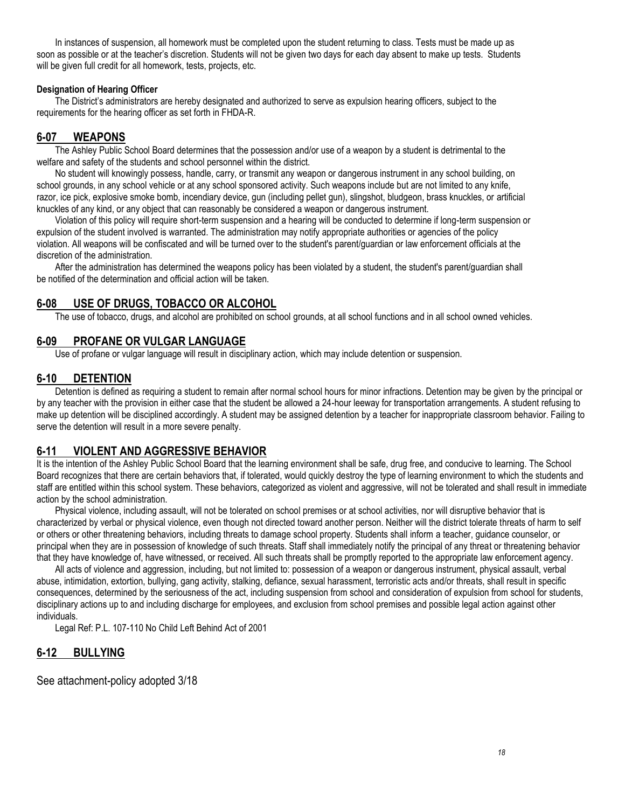In instances of suspension, all homework must be completed upon the student returning to class. Tests must be made up as soon as possible or at the teacher's discretion. Students will not be given two days for each day absent to make up tests. Students will be given full credit for all homework, tests, projects, etc.

#### **Designation of Hearing Officer**

The District's administrators are hereby designated and authorized to serve as expulsion hearing officers, subject to the requirements for the hearing officer as set forth in FHDA-R.

## **6-07 WEAPONS**

The Ashley Public School Board determines that the possession and/or use of a weapon by a student is detrimental to the welfare and safety of the students and school personnel within the district.

No student will knowingly possess, handle, carry, or transmit any weapon or dangerous instrument in any school building, on school grounds, in any school vehicle or at any school sponsored activity. Such weapons include but are not limited to any knife, razor, ice pick, explosive smoke bomb, incendiary device, gun (including pellet gun), slingshot, bludgeon, brass knuckles, or artificial knuckles of any kind, or any object that can reasonably be considered a weapon or dangerous instrument.

Violation of this policy will require short-term suspension and a hearing will be conducted to determine if long-term suspension or expulsion of the student involved is warranted. The administration may notify appropriate authorities or agencies of the policy violation. All weapons will be confiscated and will be turned over to the student's parent/guardian or law enforcement officials at the discretion of the administration.

After the administration has determined the weapons policy has been violated by a student, the student's parent/guardian shall be notified of the determination and official action will be taken.

## **6-08 USE OF DRUGS, TOBACCO OR ALCOHOL**

The use of tobacco, drugs, and alcohol are prohibited on school grounds, at all school functions and in all school owned vehicles.

## **6-09 PROFANE OR VULGAR LANGUAGE**

Use of profane or vulgar language will result in disciplinary action, which may include detention or suspension.

## **6-10 DETENTION**

Detention is defined as requiring a student to remain after normal school hours for minor infractions. Detention may be given by the principal or by any teacher with the provision in either case that the student be allowed a 24-hour leeway for transportation arrangements. A student refusing to make up detention will be disciplined accordingly. A student may be assigned detention by a teacher for inappropriate classroom behavior. Failing to serve the detention will result in a more severe penalty.

## **6-11 VIOLENT AND AGGRESSIVE BEHAVIOR**

It is the intention of the Ashley Public School Board that the learning environment shall be safe, drug free, and conducive to learning. The School Board recognizes that there are certain behaviors that, if tolerated, would quickly destroy the type of learning environment to which the students and staff are entitled within this school system. These behaviors, categorized as violent and aggressive, will not be tolerated and shall result in immediate action by the school administration.

Physical violence, including assault, will not be tolerated on school premises or at school activities, nor will disruptive behavior that is characterized by verbal or physical violence, even though not directed toward another person. Neither will the district tolerate threats of harm to self or others or other threatening behaviors, including threats to damage school property. Students shall inform a teacher, guidance counselor, or principal when they are in possession of knowledge of such threats. Staff shall immediately notify the principal of any threat or threatening behavior that they have knowledge of, have witnessed, or received. All such threats shall be promptly reported to the appropriate law enforcement agency.

All acts of violence and aggression, including, but not limited to: possession of a weapon or dangerous instrument, physical assault, verbal abuse, intimidation, extortion, bullying, gang activity, stalking, defiance, sexual harassment, terroristic acts and/or threats, shall result in specific consequences, determined by the seriousness of the act, including suspension from school and consideration of expulsion from school for students, disciplinary actions up to and including discharge for employees, and exclusion from school premises and possible legal action against other individuals.

Legal Ref: P.L. 107-110 No Child Left Behind Act of 2001

## **6-12 BULLYING**

See attachment-policy adopted 3/18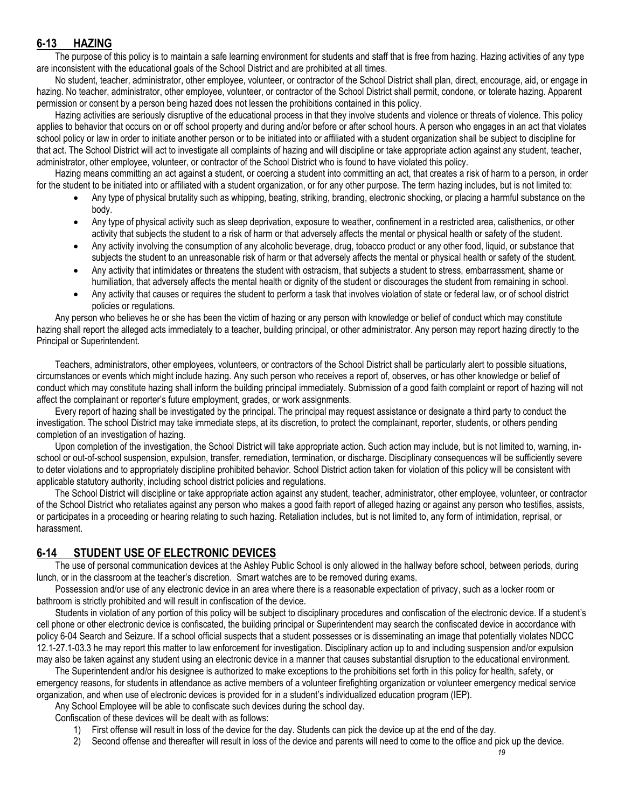# **6-13 HAZING**

The purpose of this policy is to maintain a safe learning environment for students and staff that is free from hazing. Hazing activities of any type are inconsistent with the educational goals of the School District and are prohibited at all times.

No student, teacher, administrator, other employee, volunteer, or contractor of the School District shall plan, direct, encourage, aid, or engage in hazing. No teacher, administrator, other employee, volunteer, or contractor of the School District shall permit, condone, or tolerate hazing. Apparent permission or consent by a person being hazed does not lessen the prohibitions contained in this policy.

Hazing activities are seriously disruptive of the educational process in that they involve students and violence or threats of violence. This policy applies to behavior that occurs on or off school property and during and/or before or after school hours. A person who engages in an act that violates school policy or law in order to initiate another person or to be initiated into or affiliated with a student organization shall be subject to discipline for that act. The School District will act to investigate all complaints of hazing and will discipline or take appropriate action against any student, teacher, administrator, other employee, volunteer, or contractor of the School District who is found to have violated this policy.

Hazing means committing an act against a student, or coercing a student into committing an act, that creates a risk of harm to a person, in order for the student to be initiated into or affiliated with a student organization, or for any other purpose. The term hazing includes, but is not limited to:

- Any type of physical brutality such as whipping, beating, striking, branding, electronic shocking, or placing a harmful substance on the body.
- Any type of physical activity such as sleep deprivation, exposure to weather, confinement in a restricted area, calisthenics, or other activity that subjects the student to a risk of harm or that adversely affects the mental or physical health or safety of the student.
- Any activity involving the consumption of any alcoholic beverage, drug, tobacco product or any other food, liquid, or substance that subjects the student to an unreasonable risk of harm or that adversely affects the mental or physical health or safety of the student.
- Any activity that intimidates or threatens the student with ostracism, that subjects a student to stress, embarrassment, shame or humiliation, that adversely affects the mental health or dignity of the student or discourages the student from remaining in school.
- Any activity that causes or requires the student to perform a task that involves violation of state or federal law, or of school district policies or regulations.

Any person who believes he or she has been the victim of hazing or any person with knowledge or belief of conduct which may constitute hazing shall report the alleged acts immediately to a teacher, building principal, or other administrator. Any person may report hazing directly to the Principal or Superintendent.

Teachers, administrators, other employees, volunteers, or contractors of the School District shall be particularly alert to possible situations, circumstances or events which might include hazing. Any such person who receives a report of, observes, or has other knowledge or belief of conduct which may constitute hazing shall inform the building principal immediately. Submission of a good faith complaint or report of hazing will not affect the complainant or reporter's future employment, grades, or work assignments.

Every report of hazing shall be investigated by the principal. The principal may request assistance or designate a third party to conduct the investigation. The school District may take immediate steps, at its discretion, to protect the complainant, reporter, students, or others pending completion of an investigation of hazing.

Upon completion of the investigation, the School District will take appropriate action. Such action may include, but is not limited to, warning, inschool or out-of-school suspension, expulsion, transfer, remediation, termination, or discharge. Disciplinary consequences will be sufficiently severe to deter violations and to appropriately discipline prohibited behavior. School District action taken for violation of this policy will be consistent with applicable statutory authority, including school district policies and regulations.

The School District will discipline or take appropriate action against any student, teacher, administrator, other employee, volunteer, or contractor of the School District who retaliates against any person who makes a good faith report of alleged hazing or against any person who testifies, assists, or participates in a proceeding or hearing relating to such hazing. Retaliation includes, but is not limited to, any form of intimidation, reprisal, or harassment.

# **6-14 STUDENT USE OF ELECTRONIC DEVICES**

 The use of personal communication devices at the Ashley Public School is only allowed in the hallway before school, between periods, during lunch, or in the classroom at the teacher's discretion. Smart watches are to be removed during exams.

 Possession and/or use of any electronic device in an area where there is a reasonable expectation of privacy, such as a locker room or bathroom is strictly prohibited and will result in confiscation of the device.

 Students in violation of any portion of this policy will be subject to disciplinary procedures and confiscation of the electronic device. If a student's cell phone or other electronic device is confiscated, the building principal or Superintendent may search the confiscated device in accordance with policy 6-04 Search and Seizure. If a school official suspects that a student possesses or is disseminating an image that potentially violates NDCC 12.1-27.1-03.3 he may report this matter to law enforcement for investigation. Disciplinary action up to and including suspension and/or expulsion may also be taken against any student using an electronic device in a manner that causes substantial disruption to the educational environment.

The Superintendent and/or his designee is authorized to make exceptions to the prohibitions set forth in this policy for health, safety, or emergency reasons, for students in attendance as active members of a volunteer firefighting organization or volunteer emergency medical service organization, and when use of electronic devices is provided for in a student's individualized education program (IEP).

Any School Employee will be able to confiscate such devices during the school day.

Confiscation of these devices will be dealt with as follows:

- 1) First offense will result in loss of the device for the day. Students can pick the device up at the end of the day.
- 2) Second offense and thereafter will result in loss of the device and parents will need to come to the office and pick up the device.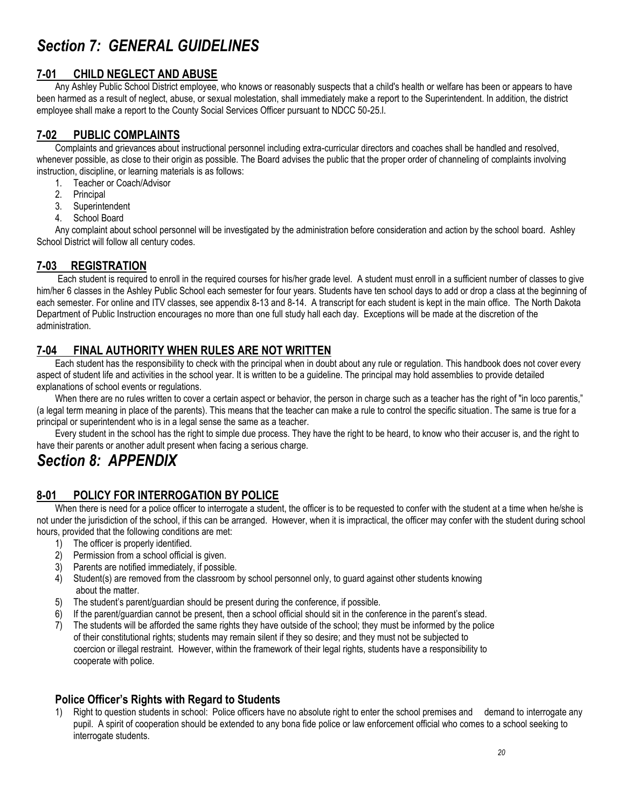# *Section 7: GENERAL GUIDELINES*

## **7-01 CHILD NEGLECT AND ABUSE**

Any Ashley Public School District employee, who knows or reasonably suspects that a child's health or welfare has been or appears to have been harmed as a result of neglect, abuse, or sexual molestation, shall immediately make a report to the Superintendent. In addition, the district employee shall make a report to the County Social Services Officer pursuant to NDCC 50-25.l.

# **7-02 PUBLIC COMPLAINTS**

Complaints and grievances about instructional personnel including extra-curricular directors and coaches shall be handled and resolved, whenever possible, as close to their origin as possible. The Board advises the public that the proper order of channeling of complaints involving instruction, discipline, or learning materials is as follows:

- 1. Teacher or Coach/Advisor
- 2. Principal
- 3. Superintendent
- 4. School Board

Any complaint about school personnel will be investigated by the administration before consideration and action by the school board. Ashley School District will follow all century codes.

# **7-03 REGISTRATION**

 Each student is required to enroll in the required courses for his/her grade level. A student must enroll in a sufficient number of classes to give him/her 6 classes in the Ashley Public School each semester for four years. Students have ten school days to add or drop a class at the beginning of each semester. For online and ITV classes, see appendix 8-13 and 8-14. A transcript for each student is kept in the main office. The North Dakota Department of Public Instruction encourages no more than one full study hall each day. Exceptions will be made at the discretion of the administration.

# **7-04 FINAL AUTHORITY WHEN RULES ARE NOT WRITTEN**

Each student has the responsibility to check with the principal when in doubt about any rule or regulation. This handbook does not cover every aspect of student life and activities in the school year. It is written to be a guideline. The principal may hold assemblies to provide detailed explanations of school events or regulations.

When there are no rules written to cover a certain aspect or behavior, the person in charge such as a teacher has the right of "in loco parentis," (a legal term meaning in place of the parents). This means that the teacher can make a rule to control the specific situation. The same is true for a principal or superintendent who is in a legal sense the same as a teacher.

Every student in the school has the right to simple due process. They have the right to be heard, to know who their accuser is, and the right to have their parents or another adult present when facing a serious charge.

# *Section 8: APPENDIX*

# **8-01 POLICY FOR INTERROGATION BY POLICE**

When there is need for a police officer to interrogate a student, the officer is to be requested to confer with the student at a time when he/she is not under the jurisdiction of the school, if this can be arranged. However, when it is impractical, the officer may confer with the student during school hours, provided that the following conditions are met:

- 1) The officer is properly identified.
- 2) Permission from a school official is given.
- 3) Parents are notified immediately, if possible.
- 4) Student(s) are removed from the classroom by school personnel only, to guard against other students knowing about the matter.
- 5) The student's parent/guardian should be present during the conference, if possible.
- 6) If the parent/guardian cannot be present, then a school official should sit in the conference in the parent's stead.
- 7) The students will be afforded the same rights they have outside of the school; they must be informed by the police of their constitutional rights; students may remain silent if they so desire; and they must not be subjected to coercion or illegal restraint. However, within the framework of their legal rights, students have a responsibility to cooperate with police.

# **Police Officer's Rights with Regard to Students**

1) Right to question students in school: Police officers have no absolute right to enter the school premises and demand to interrogate any pupil. A spirit of cooperation should be extended to any bona fide police or law enforcement official who comes to a school seeking to interrogate students.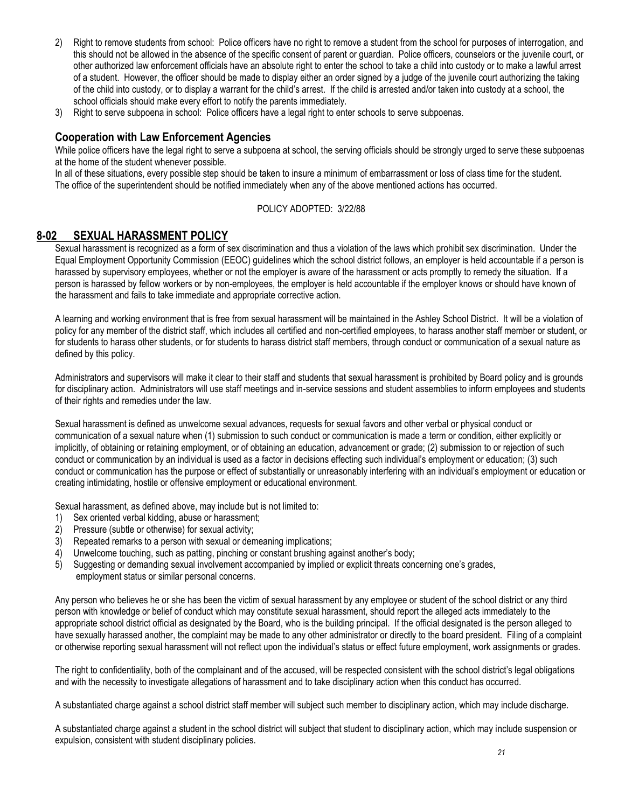- 2) Right to remove students from school: Police officers have no right to remove a student from the school for purposes of interrogation, and this should not be allowed in the absence of the specific consent of parent or guardian. Police officers, counselors or the juvenile court, or other authorized law enforcement officials have an absolute right to enter the school to take a child into custody or to make a lawful arrest of a student. However, the officer should be made to display either an order signed by a judge of the juvenile court authorizing the taking of the child into custody, or to display a warrant for the child's arrest. If the child is arrested and/or taken into custody at a school, the school officials should make every effort to notify the parents immediately.
- 3) Right to serve subpoena in school: Police officers have a legal right to enter schools to serve subpoenas.

#### **Cooperation with Law Enforcement Agencies**

While police officers have the legal right to serve a subpoena at school, the serving officials should be strongly urged to serve these subpoenas at the home of the student whenever possible.

In all of these situations, every possible step should be taken to insure a minimum of embarrassment or loss of class time for the student. The office of the superintendent should be notified immediately when any of the above mentioned actions has occurred.

#### POLICY ADOPTED: 3/22/88

## **8-02 SEXUAL HARASSMENT POLICY**

Sexual harassment is recognized as a form of sex discrimination and thus a violation of the laws which prohibit sex discrimination. Under the Equal Employment Opportunity Commission (EEOC) guidelines which the school district follows, an employer is held accountable if a person is harassed by supervisory employees, whether or not the employer is aware of the harassment or acts promptly to remedy the situation. If a person is harassed by fellow workers or by non-employees, the employer is held accountable if the employer knows or should have known of the harassment and fails to take immediate and appropriate corrective action.

A learning and working environment that is free from sexual harassment will be maintained in the Ashley School District. It will be a violation of policy for any member of the district staff, which includes all certified and non-certified employees, to harass another staff member or student, or for students to harass other students, or for students to harass district staff members, through conduct or communication of a sexual nature as defined by this policy.

Administrators and supervisors will make it clear to their staff and students that sexual harassment is prohibited by Board policy and is grounds for disciplinary action. Administrators will use staff meetings and in-service sessions and student assemblies to inform employees and students of their rights and remedies under the law.

Sexual harassment is defined as unwelcome sexual advances, requests for sexual favors and other verbal or physical conduct or communication of a sexual nature when (1) submission to such conduct or communication is made a term or condition, either explicitly or implicitly, of obtaining or retaining employment, or of obtaining an education, advancement or grade; (2) submission to or rejection of such conduct or communication by an individual is used as a factor in decisions effecting such individual's employment or education; (3) such conduct or communication has the purpose or effect of substantially or unreasonably interfering with an individual's employment or education or creating intimidating, hostile or offensive employment or educational environment.

Sexual harassment, as defined above, may include but is not limited to:

- 1) Sex oriented verbal kidding, abuse or harassment;
- 2) Pressure (subtle or otherwise) for sexual activity;
- 3) Repeated remarks to a person with sexual or demeaning implications;
- 4) Unwelcome touching, such as patting, pinching or constant brushing against another's body;
- 5) Suggesting or demanding sexual involvement accompanied by implied or explicit threats concerning one's grades, employment status or similar personal concerns.

Any person who believes he or she has been the victim of sexual harassment by any employee or student of the school district or any third person with knowledge or belief of conduct which may constitute sexual harassment, should report the alleged acts immediately to the appropriate school district official as designated by the Board, who is the building principal. If the official designated is the person alleged to have sexually harassed another, the complaint may be made to any other administrator or directly to the board president. Filing of a complaint or otherwise reporting sexual harassment will not reflect upon the individual's status or effect future employment, work assignments or grades.

The right to confidentiality, both of the complainant and of the accused, will be respected consistent with the school district's legal obligations and with the necessity to investigate allegations of harassment and to take disciplinary action when this conduct has occurred.

A substantiated charge against a school district staff member will subject such member to disciplinary action, which may include discharge.

A substantiated charge against a student in the school district will subject that student to disciplinary action, which may include suspension or expulsion, consistent with student disciplinary policies.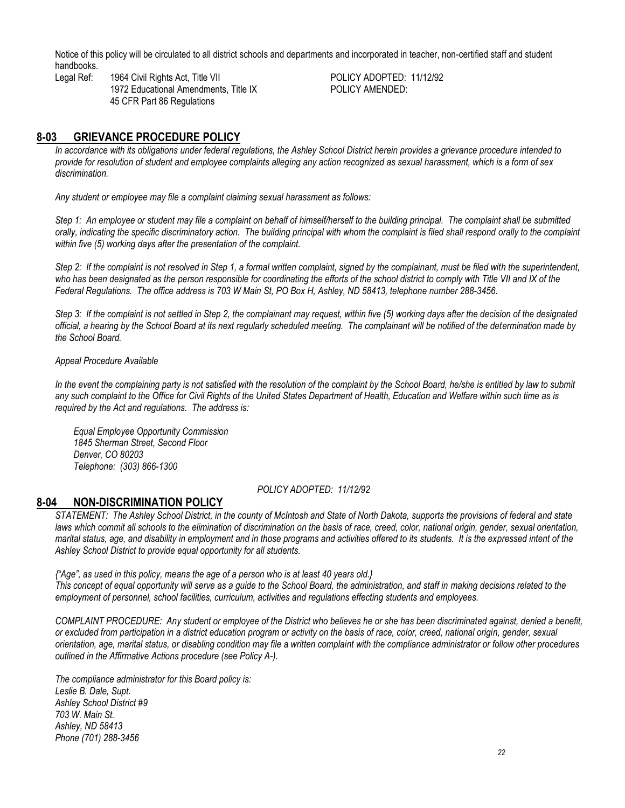Notice of this policy will be circulated to all district schools and departments and incorporated in teacher, non-certified staff and student handbooks.

Legal Ref: 1964 Civil Rights Act, Title VII POLICY ADOPTED: 11/12/92 1972 Educational Amendments, Title IX POLICY AMENDED: 45 CFR Part 86 Regulations

## **8-03 GRIEVANCE PROCEDURE POLICY**

*In accordance with its obligations under federal regulations, the Ashley School District herein provides a grievance procedure intended to provide for resolution of student and employee complaints alleging any action recognized as sexual harassment, which is a form of sex discrimination.*

*Any student or employee may file a complaint claiming sexual harassment as follows:*

*Step 1: An employee or student may file a complaint on behalf of himself/herself to the building principal. The complaint shall be submitted orally, indicating the specific discriminatory action. The building principal with whom the complaint is filed shall respond orally to the complaint within five (5) working days after the presentation of the complaint.*

*Step 2: If the complaint is not resolved in Step 1, a formal written complaint, signed by the complainant, must be filed with the superintendent,* who has been designated as the person responsible for coordinating the efforts of the school district to comply with Title VII and IX of the *Federal Regulations. The office address is 703 W Main St, PO Box H, Ashley, ND 58413, telephone number 288-3456.*

*Step 3: If the complaint is not settled in Step 2, the complainant may request, within five (5) working days after the decision of the designated official, a hearing by the School Board at its next regularly scheduled meeting. The complainant will be notified of the determination made by the School Board.*

#### *Appeal Procedure Available*

In the event the complaining party is not satisfied with the resolution of the complaint by the School Board, he/she is entitled by law to submit any such complaint to the Office for Civil Rights of the United States Department of Health, Education and Welfare within such time as is *required by the Act and regulations. The address is:*

*Equal Employee Opportunity Commission 1845 Sherman Street, Second Floor Denver, CO 80203 Telephone: (303) 866-1300*

#### *POLICY ADOPTED: 11/12/92*

#### **8-04 NON-DISCRIMINATION POLICY**

*STATEMENT: The Ashley School District, in the county of McIntosh and State of North Dakota, supports the provisions of federal and state*  laws which commit all schools to the elimination of discrimination on the basis of race, creed, color, national origin, gender, sexual orientation, *marital status, age, and disability in employment and in those programs and activities offered to its students. It is the expressed intent of the Ashley School District to provide equal opportunity for all students.*

*{"Age", as used in this policy, means the age of a person who is at least 40 years old.} This concept of equal opportunity will serve as a guide to the School Board, the administration, and staff in making decisions related to the employment of personnel, school facilities, curriculum, activities and regulations effecting students and employees.*

*COMPLAINT PROCEDURE: Any student or employee of the District who believes he or she has been discriminated against, denied a benefit, or excluded from participation in a district education program or activity on the basis of race, color, creed, national origin, gender, sexual orientation, age, marital status, or disabling condition may file a written complaint with the compliance administrator or follow other procedures outlined in the Affirmative Actions procedure (see Policy A-).*

*The compliance administrator for this Board policy is: Leslie B. Dale, Supt. Ashley School District #9 703 W. Main St. Ashley, ND 58413 Phone (701) 288-3456*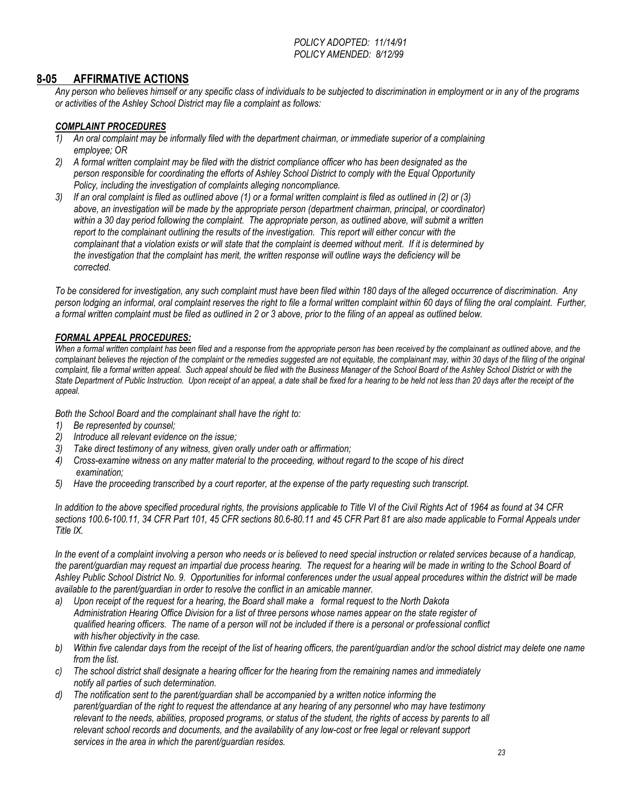*POLICY ADOPTED: 11/14/91 POLICY AMENDED: 8/12/99*

#### **8-05 AFFIRMATIVE ACTIONS**

*Any person who believes himself or any specific class of individuals to be subjected to discrimination in employment or in any of the programs or activities of the Ashley School District may file a complaint as follows:*

#### *COMPLAINT PROCEDURES*

- *1) An oral complaint may be informally filed with the department chairman, or immediate superior of a complaining employee; OR*
- *2) A formal written complaint may be filed with the district compliance officer who has been designated as the person responsible for coordinating the efforts of Ashley School District to comply with the Equal Opportunity Policy, including the investigation of complaints alleging noncompliance.*
- *3) If an oral complaint is filed as outlined above (1) or a formal written complaint is filed as outlined in (2) or (3) above, an investigation will be made by the appropriate person (department chairman, principal, or coordinator) within a 30 day period following the complaint. The appropriate person, as outlined above, will submit a written report to the complainant outlining the results of the investigation. This report will either concur with the complainant that a violation exists or will state that the complaint is deemed without merit. If it is determined by the investigation that the complaint has merit, the written response will outline ways the deficiency will be corrected.*

*To be considered for investigation, any such complaint must have been filed within 180 days of the alleged occurrence of discrimination. Any*  person lodging an informal, oral complaint reserves the right to file a formal written complaint within 60 days of filing the oral complaint. Further, *a formal written complaint must be filed as outlined in 2 or 3 above, prior to the filing of an appeal as outlined below.*

#### *FORMAL APPEAL PROCEDURES:*

When a formal written complaint has been filed and a response from the appropriate person has been received by the complainant as outlined above, and the *complainant believes the rejection of the complaint or the remedies suggested are not equitable, the complainant may, within 30 days of the filing of the original complaint, file a formal written appeal. Such appeal should be filed with the Business Manager of the School Board of the Ashley School District or with the State Department of Public Instruction. Upon receipt of an appeal, a date shall be fixed for a hearing to be held not less than 20 days after the receipt of the appeal.*

*Both the School Board and the complainant shall have the right to:*

- *1) Be represented by counsel;*
- *2) Introduce all relevant evidence on the issue;*
- *3) Take direct testimony of any witness, given orally under oath or affirmation;*
- *4) Cross-examine witness on any matter material to the proceeding, without regard to the scope of his direct examination;*
- *5) Have the proceeding transcribed by a court reporter, at the expense of the party requesting such transcript.*

*In addition to the above specified procedural rights, the provisions applicable to Title VI of the Civil Rights Act of 1964 as found at 34 CFR sections 100.6-100.11, 34 CFR Part 101, 45 CFR sections 80.6-80.11 and 45 CFR Part 81 are also made applicable to Formal Appeals under Title IX.*

*In the event of a complaint involving a person who needs or is believed to need special instruction or related services because of a handicap,*  the parent/quardian may request an impartial due process hearing. The request for a hearing will be made in writing to the School Board of *Ashley Public School District No. 9. Opportunities for informal conferences under the usual appeal procedures within the district will be made available to the parent/guardian in order to resolve the conflict in an amicable manner.*

*a) Upon receipt of the request for a hearing, the Board shall make a formal request to the North Dakota Administration Hearing Office Division for a list of three persons whose names appear on the state register of qualified hearing officers. The name of a person will not be included if there is a personal or professional conflict with his/her objectivity in the case.*

- *b) Within five calendar days from the receipt of the list of hearing officers, the parent/guardian and/or the school district may delete one name from the list.*
- *c) The school district shall designate a hearing officer for the hearing from the remaining names and immediately notify all parties of such determination.*
- *d) The notification sent to the parent/guardian shall be accompanied by a written notice informing the parent/guardian of the right to request the attendance at any hearing of any personnel who may have testimony relevant to the needs, abilities, proposed programs, or status of the student, the rights of access by parents to all relevant school records and documents, and the availability of any low-cost or free legal or relevant support services in the area in which the parent/guardian resides.*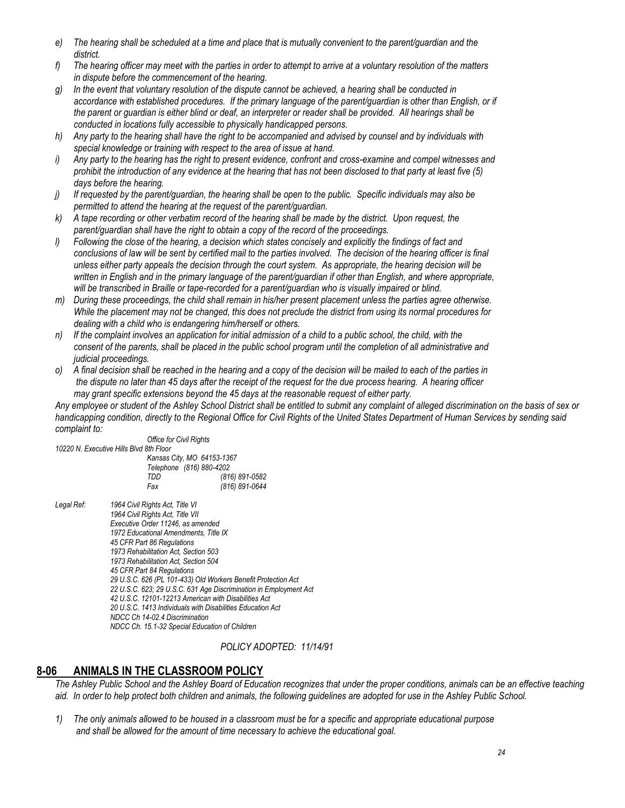- *e) The hearing shall be scheduled at a time and place that is mutually convenient to the parent/guardian and the district.*
- *f) The hearing officer may meet with the parties in order to attempt to arrive at a voluntary resolution of the matters in dispute before the commencement of the hearing.*
- *g) In the event that voluntary resolution of the dispute cannot be achieved, a hearing shall be conducted in accordance with established procedures. If the primary language of the parent/guardian is other than English, or if the parent or guardian is either blind or deaf, an interpreter or reader shall be provided. All hearings shall be conducted in locations fully accessible to physically handicapped persons.*
- *h) Any party to the hearing shall have the right to be accompanied and advised by counsel and by individuals with special knowledge or training with respect to the area of issue at hand.*
- *i) Any party to the hearing has the right to present evidence, confront and cross-examine and compel witnesses and prohibit the introduction of any evidence at the hearing that has not been disclosed to that party at least five (5) days before the hearing.*
- *j) If requested by the parent/guardian, the hearing shall be open to the public. Specific individuals may also be permitted to attend the hearing at the request of the parent/guardian.*
- *k) A tape recording or other verbatim record of the hearing shall be made by the district. Upon request, the parent/guardian shall have the right to obtain a copy of the record of the proceedings.*
- *l) Following the close of the hearing, a decision which states concisely and explicitly the findings of fact and conclusions of law will be sent by certified mail to the parties involved. The decision of the hearing officer is final unless either party appeals the decision through the court system. As appropriate, the hearing decision will be written in English and in the primary language of the parent/guardian if other than English, and where appropriate, will be transcribed in Braille or tape-recorded for a parent/guardian who is visually impaired or blind.*
- *m) During these proceedings, the child shall remain in his/her present placement unless the parties agree otherwise. While the placement may not be changed, this does not preclude the district from using its normal procedures for dealing with a child who is endangering him/herself or others.*
- *n) If the complaint involves an application for initial admission of a child to a public school, the child, with the consent of the parents, shall be placed in the public school program until the completion of all administrative and judicial proceedings.*
- *o) A final decision shall be reached in the hearing and a copy of the decision will be mailed to each of the parties in the dispute no later than 45 days after the receipt of the request for the due process hearing. A hearing officer may grant specific extensions beyond the 45 days at the reasonable request of either party.*

*Any employee or student of the Ashley School District shall be entitled to submit any complaint of alleged discrimination on the basis of sex or handicapping condition, directly to the Regional Office for Civil Rights of the United States Department of Human Services by sending said complaint to:*

| <i>complaint to.</i> |                                                       |                                                                   |
|----------------------|-------------------------------------------------------|-------------------------------------------------------------------|
|                      | <b>Office for Civil Rights</b>                        |                                                                   |
|                      | 10220 N. Executive Hills Blvd 8th Floor               |                                                                   |
|                      | Kansas City, MO 64153-1367                            |                                                                   |
|                      | Telephone (816) 880-4202                              |                                                                   |
|                      | TDD                                                   | (816) 891-0582                                                    |
|                      | Fax                                                   | (816) 891-0644                                                    |
| Legal Ref:           | 1964 Civil Rights Act, Title VI                       |                                                                   |
|                      | 1964 Civil Rights Act, Title VII                      |                                                                   |
|                      | Executive Order 11246, as amended                     |                                                                   |
|                      | 1972 Educational Amendments, Title IX                 |                                                                   |
|                      | 45 CFR Part 86 Regulations                            |                                                                   |
|                      | 1973 Rehabilitation Act, Section 503                  |                                                                   |
|                      | 1973 Rehabilitation Act, Section 504                  |                                                                   |
|                      | 45 CFR Part 84 Regulations                            |                                                                   |
|                      |                                                       | 29 U.S.C. 626 (PL 101-433) Old Workers Benefit Protection Act     |
|                      |                                                       | 22 U.S.C. 623; 29 U.S.C. 631 Age Discrimination in Employment Act |
|                      | 42 I I S C 12101-12213 American with Disabilities Act |                                                                   |

*42 U.S.C. 12101-12213 American with Disabilities Act 20 U.S.C. 1413 Individuals with Disabilities Education Act*

*NDCC Ch 14-02.4 Discrimination*

*NDCC Ch. 15.1-32 Special Education of Children*

#### *POLICY ADOPTED: 11/14/91*

## **8-06 ANIMALS IN THE CLASSROOM POLICY**

*The Ashley Public School and the Ashley Board of Education recognizes that under the proper conditions, animals can be an effective teaching aid. In order to help protect both children and animals, the following guidelines are adopted for use in the Ashley Public School.*

*1) The only animals allowed to be housed in a classroom must be for a specific and appropriate educational purpose and shall be allowed for the amount of time necessary to achieve the educational goal.*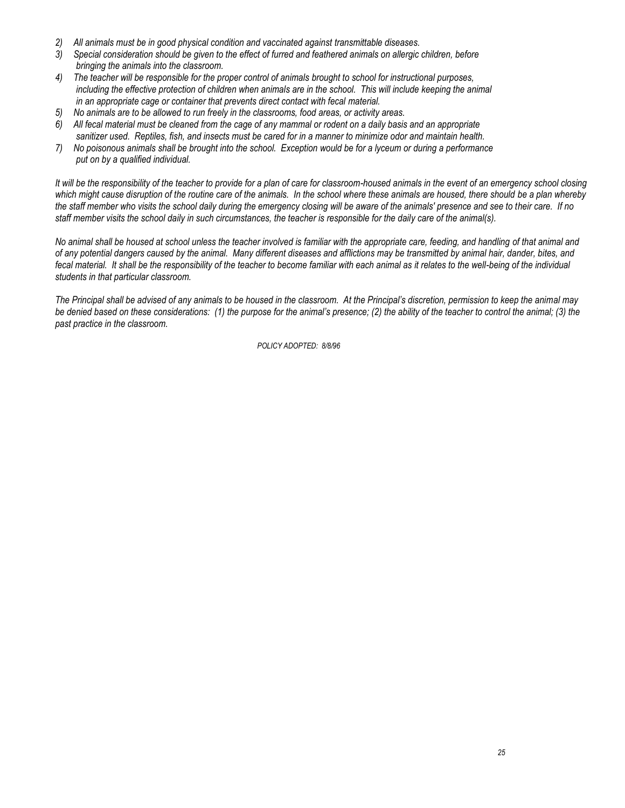- *2) All animals must be in good physical condition and vaccinated against transmittable diseases.*
- *3) Special consideration should be given to the effect of furred and feathered animals on allergic children, before bringing the animals into the classroom.*
- *4) The teacher will be responsible for the proper control of animals brought to school for instructional purposes, including the effective protection of children when animals are in the school. This will include keeping the animal in an appropriate cage or container that prevents direct contact with fecal material.*
- *5) No animals are to be allowed to run freely in the classrooms, food areas, or activity areas.*
- *6) All fecal material must be cleaned from the cage of any mammal or rodent on a daily basis and an appropriate sanitizer used. Reptiles, fish, and insects must be cared for in a manner to minimize odor and maintain health.*
- *7) No poisonous animals shall be brought into the school. Exception would be for a lyceum or during a performance put on by a qualified individual.*

*It will be the responsibility of the teacher to provide for a plan of care for classroom-housed animals in the event of an emergency school closing which might cause disruption of the routine care of the animals. In the school where these animals are housed, there should be a plan whereby the staff member who visits the school daily during the emergency closing will be aware of the animals' presence and see to their care. If no staff member visits the school daily in such circumstances, the teacher is responsible for the daily care of the animal(s).*

*No animal shall be housed at school unless the teacher involved is familiar with the appropriate care, feeding, and handling of that animal and of any potential dangers caused by the animal. Many different diseases and afflictions may be transmitted by animal hair, dander, bites, and fecal material. It shall be the responsibility of the teacher to become familiar with each animal as it relates to the well-being of the individual students in that particular classroom.*

*The Principal shall be advised of any animals to be housed in the classroom. At the Principal's discretion, permission to keep the animal may be denied based on these considerations: (1) the purpose for the animal's presence; (2) the ability of the teacher to control the animal; (3) the past practice in the classroom.*

*POLICY ADOPTED: 8/8/96*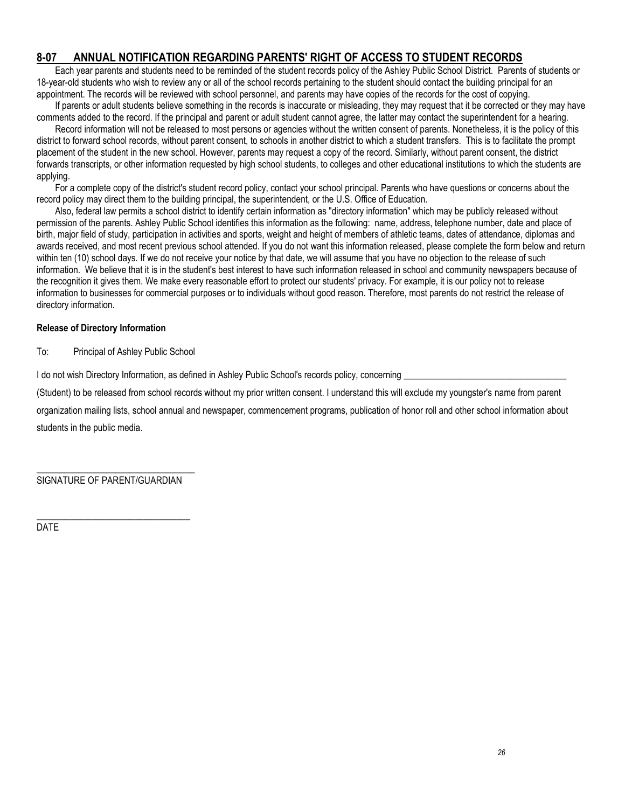# **8-07 ANNUAL NOTIFICATION REGARDING PARENTS' RIGHT OF ACCESS TO STUDENT RECORDS**

Each year parents and students need to be reminded of the student records policy of the Ashley Public School District. Parents of students or 18-year-old students who wish to review any or all of the school records pertaining to the student should contact the building principal for an appointment. The records will be reviewed with school personnel, and parents may have copies of the records for the cost of copying.

If parents or adult students believe something in the records is inaccurate or misleading, they may request that it be corrected or they may have comments added to the record. If the principal and parent or adult student cannot agree, the latter may contact the superintendent for a hearing.

Record information will not be released to most persons or agencies without the written consent of parents. Nonetheless, it is the policy of this district to forward school records, without parent consent, to schools in another district to which a student transfers. This is to facilitate the prompt placement of the student in the new school. However, parents may request a copy of the record. Similarly, without parent consent, the district forwards transcripts, or other information requested by high school students, to colleges and other educational institutions to which the students are applying.

For a complete copy of the district's student record policy, contact your school principal. Parents who have questions or concerns about the record policy may direct them to the building principal, the superintendent, or the U.S. Office of Education.

Also, federal law permits a school district to identify certain information as "directory information" which may be publicly released without permission of the parents. Ashley Public School identifies this information as the following: name, address, telephone number, date and place of birth, major field of study, participation in activities and sports, weight and height of members of athletic teams, dates of attendance, diplomas and awards received, and most recent previous school attended. If you do not want this information released, please complete the form below and return within ten (10) school days. If we do not receive your notice by that date, we will assume that you have no objection to the release of such information. We believe that it is in the student's best interest to have such information released in school and community newspapers because of the recognition it gives them. We make every reasonable effort to protect our students' privacy. For example, it is our policy not to release information to businesses for commercial purposes or to individuals without good reason. Therefore, most parents do not restrict the release of directory information.

#### **Release of Directory Information**

To: Principal of Ashley Public School

I do not wish Directory Information, as defined in Ashley Public School's records policy, concerning

(Student) to be released from school records without my prior written consent. I understand this will exclude my youngster's name from parent

organization mailing lists, school annual and newspaper, commencement programs, publication of honor roll and other school information about students in the public media.

\_\_\_\_\_\_\_\_\_\_\_\_\_\_\_\_\_\_\_\_\_\_\_\_\_\_\_\_\_\_\_\_\_\_ SIGNATURE OF PARENT/GUARDIAN

\_\_\_\_\_\_\_\_\_\_\_\_\_\_\_\_\_\_\_\_\_\_\_\_\_\_\_\_\_\_\_\_\_

DATE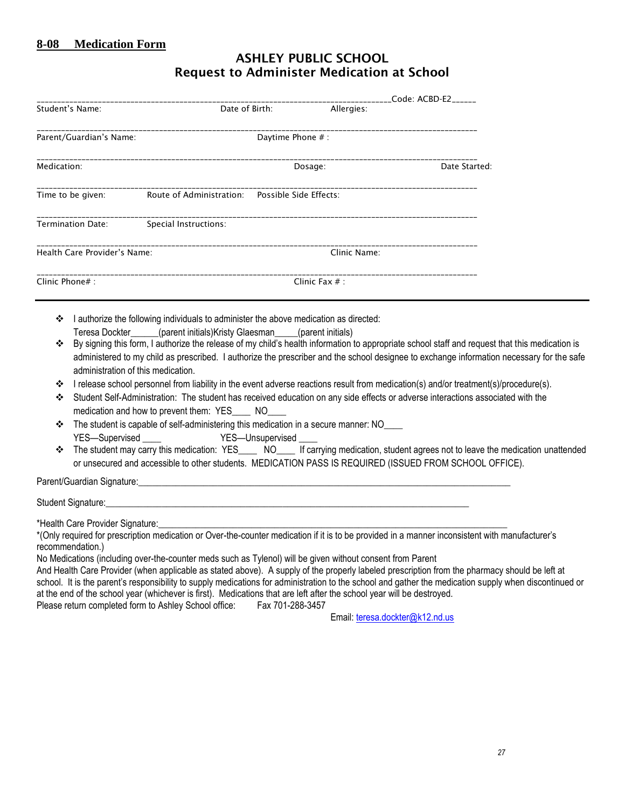# **ASHLEY PUBLIC SCHOOL Request to Administer Medication at School**

| Code: ACBD-E2 |
|---------------|
|               |
|               |
| Date Started: |
|               |
|               |
|               |
|               |
|               |

- I authorize the following individuals to administer the above medication as directed: Teresa Dockter (parent initials)Kristy Glaesman (parent initials)
- By signing this form, I authorize the release of my child's health information to appropriate school staff and request that this medication is administered to my child as prescribed. I authorize the prescriber and the school designee to exchange information necessary for the safe administration of this medication.
- $\div$  I release school personnel from liability in the event adverse reactions result from medication(s) and/or treatment(s)/procedure(s).
- Student Self-Administration: The student has received education on any side effects or adverse interactions associated with the medication and how to prevent them: YES \_\_\_ NO
- $\cdot \cdot$  The student is capable of self-administering this medication in a secure manner: NO\_\_\_\_ YES-Supervised YES-Unsupervised
- The student may carry this medication: YES\_\_\_\_ NO\_\_\_\_ If carrying medication, student agrees not to leave the medication unattended or unsecured and accessible to other students. MEDICATION PASS IS REQUIRED (ISSUED FROM SCHOOL OFFICE).

Parent/Guardian Signature:

Student Signature:

\*Health Care Provider Signature:

\*(Only required for prescription medication or Over-the-counter medication if it is to be provided in a manner inconsistent with manufacturer's recommendation.)

No Medications (including over-the-counter meds such as Tylenol) will be given without consent from Parent

And Health Care Provider (when applicable as stated above). A supply of the properly labeled prescription from the pharmacy should be left at school. It is the parent's responsibility to supply medications for administration to the school and gather the medication supply when discontinued or at the end of the school year (whichever is first). Medications that are left after the school year will be destroyed.

Please return completed form to Ashley School office: Fax 701-288-3457

Email: [teresa.dockter@k12.nd.us](mailto:teresa.dockter@k12.nd.us)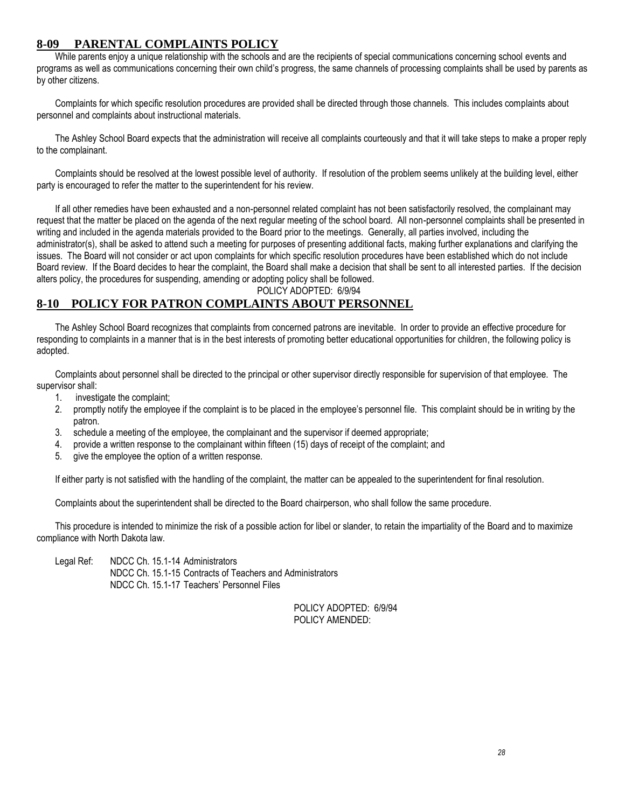#### **8-09 PARENTAL COMPLAINTS POLICY**

While parents enjoy a unique relationship with the schools and are the recipients of special communications concerning school events and programs as well as communications concerning their own child's progress, the same channels of processing complaints shall be used by parents as by other citizens.

Complaints for which specific resolution procedures are provided shall be directed through those channels. This includes complaints about personnel and complaints about instructional materials.

The Ashley School Board expects that the administration will receive all complaints courteously and that it will take steps to make a proper reply to the complainant.

Complaints should be resolved at the lowest possible level of authority. If resolution of the problem seems unlikely at the building level, either party is encouraged to refer the matter to the superintendent for his review.

If all other remedies have been exhausted and a non-personnel related complaint has not been satisfactorily resolved, the complainant may request that the matter be placed on the agenda of the next regular meeting of the school board. All non-personnel complaints shall be presented in writing and included in the agenda materials provided to the Board prior to the meetings. Generally, all parties involved, including the administrator(s), shall be asked to attend such a meeting for purposes of presenting additional facts, making further explanations and clarifying the issues. The Board will not consider or act upon complaints for which specific resolution procedures have been established which do not include Board review. If the Board decides to hear the complaint, the Board shall make a decision that shall be sent to all interested parties. If the decision alters policy, the procedures for suspending, amending or adopting policy shall be followed.

POLICY ADOPTED: 6/9/94

# **8-10 POLICY FOR PATRON COMPLAINTS ABOUT PERSONNEL**

The Ashley School Board recognizes that complaints from concerned patrons are inevitable. In order to provide an effective procedure for responding to complaints in a manner that is in the best interests of promoting better educational opportunities for children, the following policy is adopted.

Complaints about personnel shall be directed to the principal or other supervisor directly responsible for supervision of that employee. The supervisor shall:

- 1. investigate the complaint;
- 2. promptly notify the employee if the complaint is to be placed in the employee's personnel file. This complaint should be in writing by the patron.
- 3. schedule a meeting of the employee, the complainant and the supervisor if deemed appropriate;
- 4. provide a written response to the complainant within fifteen (15) days of receipt of the complaint; and
- 5. give the employee the option of a written response.

If either party is not satisfied with the handling of the complaint, the matter can be appealed to the superintendent for final resolution.

Complaints about the superintendent shall be directed to the Board chairperson, who shall follow the same procedure.

This procedure is intended to minimize the risk of a possible action for libel or slander, to retain the impartiality of the Board and to maximize compliance with North Dakota law.

Legal Ref: NDCC Ch. 15.1-14 Administrators NDCC Ch. 15.1-15 Contracts of Teachers and Administrators NDCC Ch. 15.1-17 Teachers' Personnel Files

> POLICY ADOPTED: 6/9/94 POLICY AMENDED: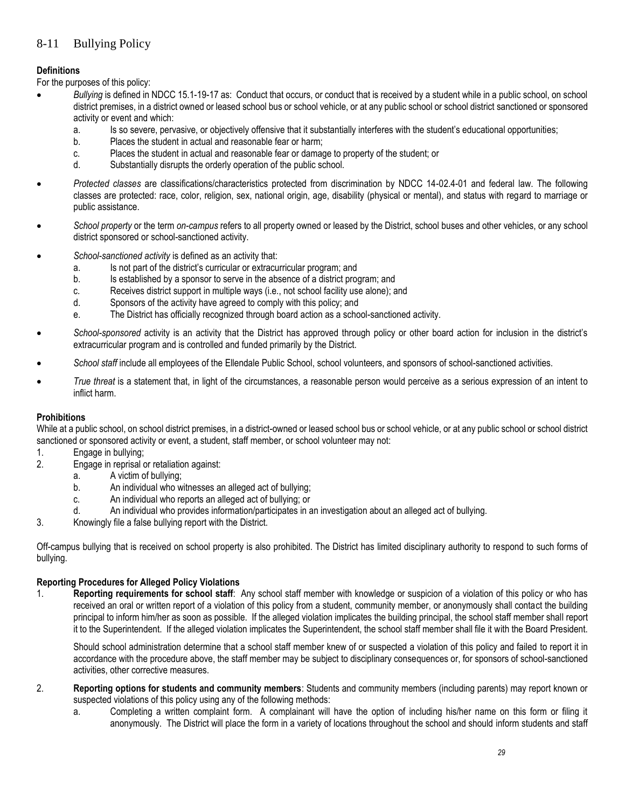# 8-11 Bullying Policy

## **Definitions**

For the purposes of this policy:

- *Bullying* is defined in NDCC 15.1-19-17 as: Conduct that occurs, or conduct that is received by a student while in a public school, on school district premises, in a district owned or leased school bus or school vehicle, or at any public school or school district sanctioned or sponsored activity or event and which:
	- a. Is so severe, pervasive, or objectively offensive that it substantially interferes with the student's educational opportunities:
	- b. Places the student in actual and reasonable fear or harm;
	- c. Places the student in actual and reasonable fear or damage to property of the student; or
	- d. Substantially disrupts the orderly operation of the public school.
- *Protected classes* are classifications/characteristics protected from discrimination by NDCC 14-02.4-01 and federal law. The following classes are protected: race, color, religion, sex, national origin, age, disability (physical or mental), and status with regard to marriage or public assistance.
- *School property* or the term *on-campus* refers to all property owned or leased by the District, school buses and other vehicles, or any school district sponsored or school-sanctioned activity.
- *School-sanctioned activity* is defined as an activity that:
	- a. Is not part of the district's curricular or extracurricular program; and
	- b. Is established by a sponsor to serve in the absence of a district program; and
	- c. Receives district support in multiple ways (i.e., not school facility use alone); and
	- d. Sponsors of the activity have agreed to comply with this policy; and
	- e. The District has officially recognized through board action as a school-sanctioned activity.
- *School-sponsored* activity is an activity that the District has approved through policy or other board action for inclusion in the district's extracurricular program and is controlled and funded primarily by the District.
- *School staff* include all employees of the Ellendale Public School, school volunteers, and sponsors of school-sanctioned activities.
- *True threat* is a statement that, in light of the circumstances, a reasonable person would perceive as a serious expression of an intent to inflict harm.

#### **Prohibitions**

While at a public school, on school district premises, in a district-owned or leased school bus or school vehicle, or at any public school or school district sanctioned or sponsored activity or event, a student, staff member, or school volunteer may not:

- 1. Engage in bullying;
- 2. Engage in reprisal or retaliation against:
	- a. A victim of bullying;
	- b. An individual who witnesses an alleged act of bullying;
	- c. An individual who reports an alleged act of bullying; or
	- d. An individual who provides information/participates in an investigation about an alleged act of bullying.
- 3. Knowingly file a false bullying report with the District.

Off-campus bullying that is received on school property is also prohibited. The District has limited disciplinary authority to respond to such forms of bullying.

#### **Reporting Procedures for Alleged Policy Violations**

1. **Reporting requirements for school staff**: Any school staff member with knowledge or suspicion of a violation of this policy or who has received an oral or written report of a violation of this policy from a student, community member, or anonymously shall contact the building principal to inform him/her as soon as possible. If the alleged violation implicates the building principal, the school staff member shall report it to the Superintendent. If the alleged violation implicates the Superintendent, the school staff member shall file it with the Board President.

Should school administration determine that a school staff member knew of or suspected a violation of this policy and failed to report it in accordance with the procedure above, the staff member may be subject to disciplinary consequences or, for sponsors of school-sanctioned activities, other corrective measures.

- 2. **Reporting options for students and community members**: Students and community members (including parents) may report known or suspected violations of this policy using any of the following methods:
	- a. Completing a written complaint form. A complainant will have the option of including his/her name on this form or filing it anonymously. The District will place the form in a variety of locations throughout the school and should inform students and staff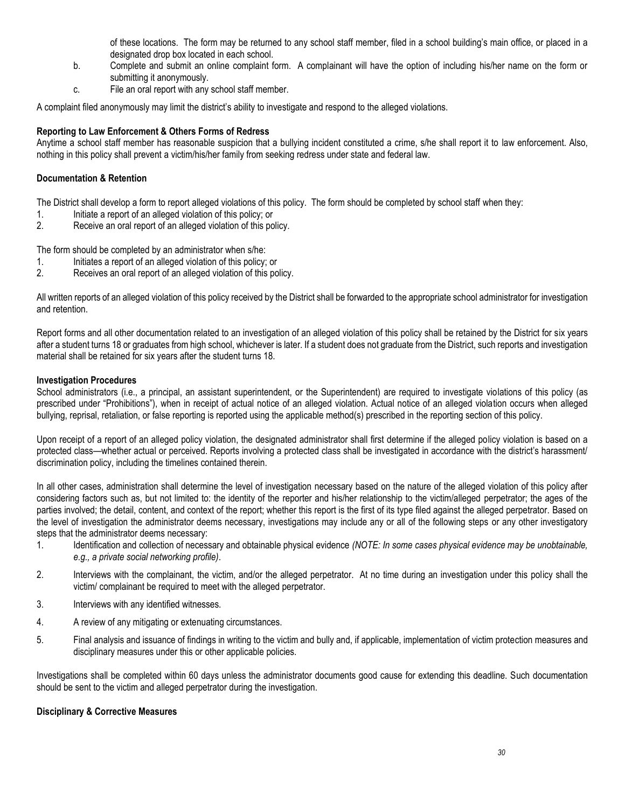of these locations. The form may be returned to any school staff member, filed in a school building's main office, or placed in a designated drop box located in each school.

- b. Complete and submit an online complaint form. A complainant will have the option of including his/her name on the form or submitting it anonymously.
- c. File an oral report with any school staff member.

A complaint filed anonymously may limit the district's ability to investigate and respond to the alleged violations.

#### **Reporting to Law Enforcement & Others Forms of Redress**

Anytime a school staff member has reasonable suspicion that a bullying incident constituted a crime, s/he shall report it to law enforcement. Also, nothing in this policy shall prevent a victim/his/her family from seeking redress under state and federal law.

#### **Documentation & Retention**

The District shall develop a form to report alleged violations of this policy. The form should be completed by school staff when they:

- 1. Initiate a report of an alleged violation of this policy; or
- 2. Receive an oral report of an alleged violation of this policy.

The form should be completed by an administrator when s/he:

- 1. Initiates a report of an alleged violation of this policy; or
- 2. Receives an oral report of an alleged violation of this policy.

All written reports of an alleged violation of this policy received by the District shall be forwarded to the appropriate school administrator for investigation and retention.

Report forms and all other documentation related to an investigation of an alleged violation of this policy shall be retained by the District for six years after a student turns 18 or graduates from high school, whichever is later. If a student does not graduate from the District, such reports and investigation material shall be retained for six years after the student turns 18.

#### **Investigation Procedures**

School administrators (i.e., a principal, an assistant superintendent, or the Superintendent) are required to investigate violations of this policy (as prescribed under "Prohibitions"), when in receipt of actual notice of an alleged violation. Actual notice of an alleged violation occurs when alleged bullying, reprisal, retaliation, or false reporting is reported using the applicable method(s) prescribed in the reporting section of this policy.

Upon receipt of a report of an alleged policy violation, the designated administrator shall first determine if the alleged policy violation is based on a protected class—whether actual or perceived. Reports involving a protected class shall be investigated in accordance with the district's harassment/ discrimination policy, including the timelines contained therein.

In all other cases, administration shall determine the level of investigation necessary based on the nature of the alleged violation of this policy after considering factors such as, but not limited to: the identity of the reporter and his/her relationship to the victim/alleged perpetrator; the ages of the parties involved; the detail, content, and context of the report; whether this report is the first of its type filed against the alleged perpetrator. Based on the level of investigation the administrator deems necessary, investigations may include any or all of the following steps or any other investigatory steps that the administrator deems necessary:

- 1. Identification and collection of necessary and obtainable physical evidence *(NOTE: In some cases physical evidence may be unobtainable, e.g., a private social networking profile)*.
- 2. Interviews with the complainant, the victim, and/or the alleged perpetrator. At no time during an investigation under this policy shall the victim/ complainant be required to meet with the alleged perpetrator.
- 3. Interviews with any identified witnesses.
- 4. A review of any mitigating or extenuating circumstances.
- 5. Final analysis and issuance of findings in writing to the victim and bully and, if applicable, implementation of victim protection measures and disciplinary measures under this or other applicable policies.

Investigations shall be completed within 60 days unless the administrator documents good cause for extending this deadline. Such documentation should be sent to the victim and alleged perpetrator during the investigation.

#### **Disciplinary & Corrective Measures**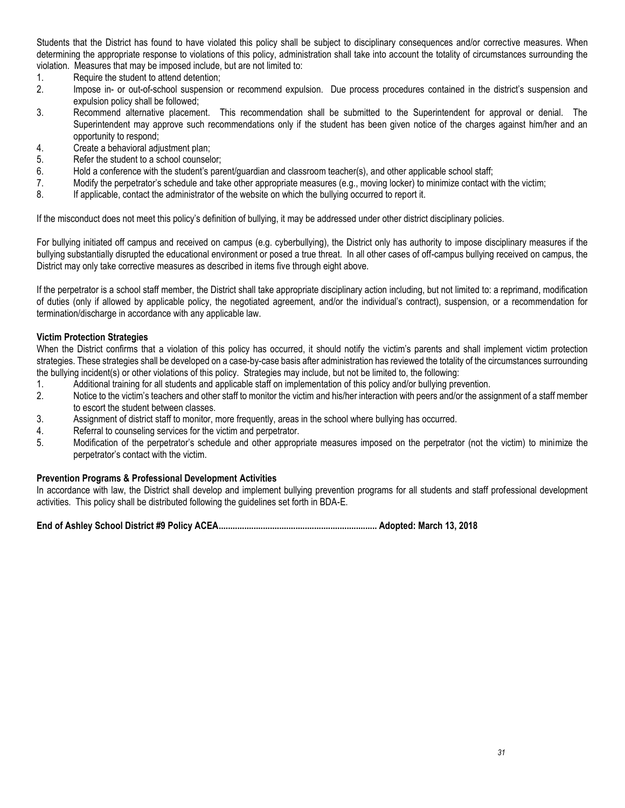Students that the District has found to have violated this policy shall be subject to disciplinary consequences and/or corrective measures. When determining the appropriate response to violations of this policy, administration shall take into account the totality of circumstances surrounding the violation. Measures that may be imposed include, but are not limited to:

- 1. Require the student to attend detention;
- 2. Impose in- or out-of-school suspension or recommend expulsion. Due process procedures contained in the district's suspension and expulsion policy shall be followed;
- 3. Recommend alternative placement. This recommendation shall be submitted to the Superintendent for approval or denial. The Superintendent may approve such recommendations only if the student has been given notice of the charges against him/her and an opportunity to respond;
- 4. Create a behavioral adjustment plan;
- 5. Refer the student to a school counselor;
- 6. Hold a conference with the student's parent/guardian and classroom teacher(s), and other applicable school staff;
- 7. Modify the perpetrator's schedule and take other appropriate measures (e.g., moving locker) to minimize contact with the victim;
- 8. If applicable, contact the administrator of the website on which the bullying occurred to report it.

If the misconduct does not meet this policy's definition of bullying, it may be addressed under other district disciplinary policies.

For bullying initiated off campus and received on campus (e.g. cyberbullying), the District only has authority to impose disciplinary measures if the bullying substantially disrupted the educational environment or posed a true threat. In all other cases of off-campus bullying received on campus, the District may only take corrective measures as described in items five through eight above.

If the perpetrator is a school staff member, the District shall take appropriate disciplinary action including, but not limited to: a reprimand, modification of duties (only if allowed by applicable policy, the negotiated agreement, and/or the individual's contract), suspension, or a recommendation for termination/discharge in accordance with any applicable law.

#### **Victim Protection Strategies**

When the District confirms that a violation of this policy has occurred, it should notify the victim's parents and shall implement victim protection strategies. These strategies shall be developed on a case-by-case basis after administration has reviewed the totality of the circumstances surrounding the bullying incident(s) or other violations of this policy. Strategies may include, but not be limited to, the following:

- 1. Additional training for all students and applicable staff on implementation of this policy and/or bullying prevention.
- 2. Notice to the victim's teachers and other staff to monitor the victim and his/her interaction with peers and/or the assignment of a staff member to escort the student between classes.
- 3. Assignment of district staff to monitor, more frequently, areas in the school where bullying has occurred.
- 4. Referral to counseling services for the victim and perpetrator.
- 5. Modification of the perpetrator's schedule and other appropriate measures imposed on the perpetrator (not the victim) to minimize the perpetrator's contact with the victim.

#### **Prevention Programs & Professional Development Activities**

In accordance with law, the District shall develop and implement bullying prevention programs for all students and staff professional development activities. This policy shall be distributed following the guidelines set forth in BDA-E.

**End of Ashley School District #9 Policy ACEA.................................................................... Adopted: March 13, 2018**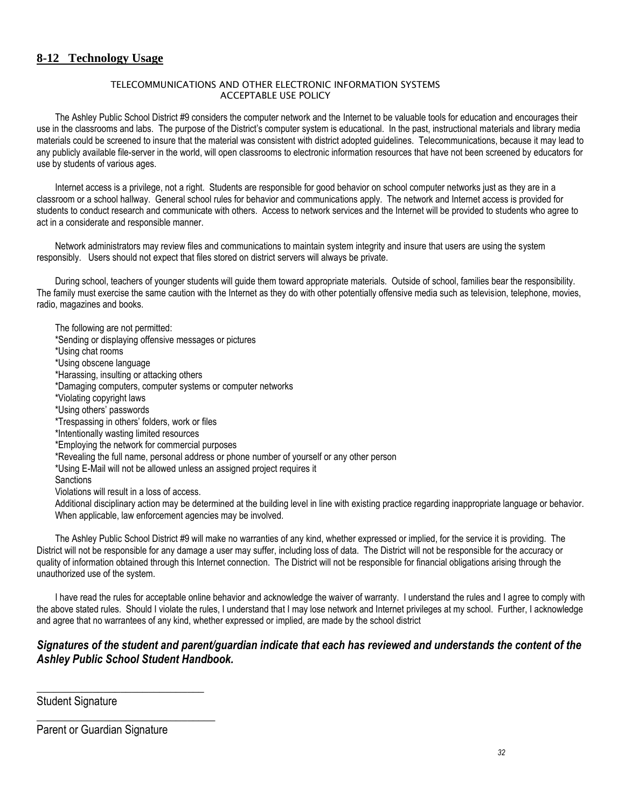## **8-12 Technology Usage**

#### TELECOMMUNICATIONS AND OTHER ELECTRONIC INFORMATION SYSTEMS ACCEPTABLE USE POLICY

The Ashley Public School District #9 considers the computer network and the Internet to be valuable tools for education and encourages their use in the classrooms and labs. The purpose of the District's computer system is educational. In the past, instructional materials and library media materials could be screened to insure that the material was consistent with district adopted guidelines. Telecommunications, because it may lead to any publicly available file-server in the world, will open classrooms to electronic information resources that have not been screened by educators for use by students of various ages.

Internet access is a privilege, not a right. Students are responsible for good behavior on school computer networks just as they are in a classroom or a school hallway. General school rules for behavior and communications apply. The network and Internet access is provided for students to conduct research and communicate with others. Access to network services and the Internet will be provided to students who agree to act in a considerate and responsible manner.

Network administrators may review files and communications to maintain system integrity and insure that users are using the system responsibly. Users should not expect that files stored on district servers will always be private.

During school, teachers of younger students will guide them toward appropriate materials. Outside of school, families bear the responsibility. The family must exercise the same caution with the Internet as they do with other potentially offensive media such as television, telephone, movies, radio, magazines and books.

The following are not permitted:

\*Sending or displaying offensive messages or pictures

\*Using chat rooms

\*Using obscene language

\*Harassing, insulting or attacking others

\*Damaging computers, computer systems or computer networks

\*Violating copyright laws

\*Using others' passwords

\*Trespassing in others' folders, work or files

\*Intentionally wasting limited resources

\*Employing the network for commercial purposes

\*Revealing the full name, personal address or phone number of yourself or any other person

\*Using E-Mail will not be allowed unless an assigned project requires it

**Sanctions** 

Violations will result in a loss of access.

Additional disciplinary action may be determined at the building level in line with existing practice regarding inappropriate language or behavior. When applicable, law enforcement agencies may be involved.

The Ashley Public School District #9 will make no warranties of any kind, whether expressed or implied, for the service it is providing. The District will not be responsible for any damage a user may suffer, including loss of data. The District will not be responsible for the accuracy or quality of information obtained through this Internet connection. The District will not be responsible for financial obligations arising through the unauthorized use of the system.

I have read the rules for acceptable online behavior and acknowledge the waiver of warranty. I understand the rules and I agree to comply with the above stated rules. Should I violate the rules, I understand that I may lose network and Internet privileges at my school. Further, I acknowledge and agree that no warrantees of any kind, whether expressed or implied, are made by the school district

## *Signatures of the student and parent/guardian indicate that each has reviewed and understands the content of the Ashley Public School Student Handbook.*

Student Signature

|  | Parent or Guardian Signature |
|--|------------------------------|
|--|------------------------------|

\_\_\_\_\_\_\_\_\_\_\_\_\_\_\_\_\_\_\_\_\_\_\_\_\_\_\_\_\_\_

\_\_\_\_\_\_\_\_\_\_\_\_\_\_\_\_\_\_\_\_\_\_\_\_\_\_\_\_\_\_\_\_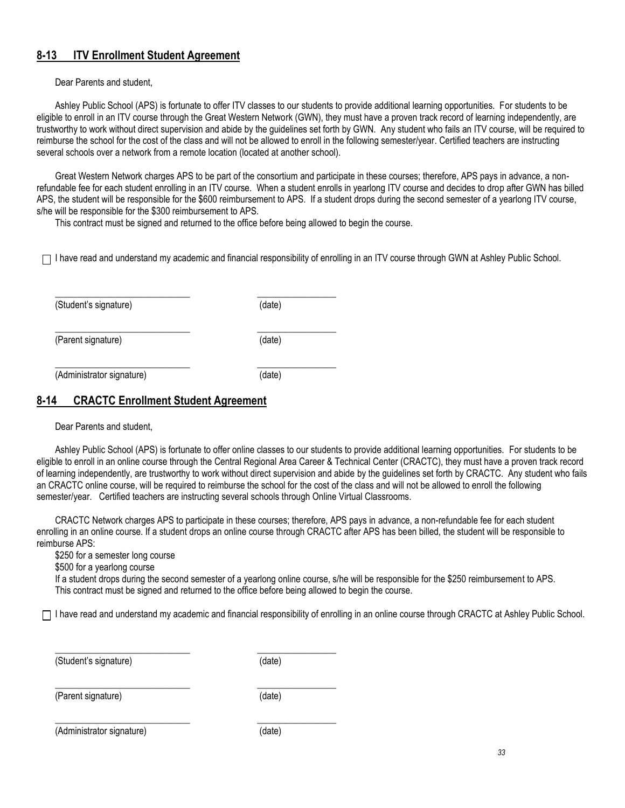# **8-13 ITV Enrollment Student Agreement**

Dear Parents and student,

Ashley Public School (APS) is fortunate to offer ITV classes to our students to provide additional learning opportunities. For students to be eligible to enroll in an ITV course through the Great Western Network (GWN), they must have a proven track record of learning independently, are trustworthy to work without direct supervision and abide by the guidelines set forth by GWN. Any student who fails an ITV course, will be required to reimburse the school for the cost of the class and will not be allowed to enroll in the following semester/year. Certified teachers are instructing several schools over a network from a remote location (located at another school).

Great Western Network charges APS to be part of the consortium and participate in these courses; therefore, APS pays in advance, a nonrefundable fee for each student enrolling in an ITV course. When a student enrolls in yearlong ITV course and decides to drop after GWN has billed APS, the student will be responsible for the \$600 reimbursement to APS. If a student drops during the second semester of a yearlong ITV course, s/he will be responsible for the \$300 reimbursement to APS.

This contract must be signed and returned to the office before being allowed to begin the course.

 $\Box$  I have read and understand my academic and financial responsibility of enrolling in an ITV course through GWN at Ashley Public School.

| (Student's signature)     | (date) |
|---------------------------|--------|
| (Parent signature)        | (date) |
| (Administrator signature) | (date) |

\_\_\_\_\_\_\_\_\_\_\_\_\_\_\_\_\_\_\_\_\_\_\_\_\_\_\_\_\_ \_\_\_\_\_\_\_\_\_\_\_\_\_\_\_\_\_

\_\_\_\_\_\_\_\_\_\_\_\_\_\_\_\_\_\_\_\_\_\_\_\_\_\_\_\_\_ \_\_\_\_\_\_\_\_\_\_\_\_\_\_\_\_\_

## **8-14 CRACTC Enrollment Student Agreement**

Dear Parents and student,

Ashley Public School (APS) is fortunate to offer online classes to our students to provide additional learning opportunities. For students to be eligible to enroll in an online course through the Central Regional Area Career & Technical Center (CRACTC), they must have a proven track record of learning independently, are trustworthy to work without direct supervision and abide by the guidelines set forth by CRACTC. Any student who fails an CRACTC online course, will be required to reimburse the school for the cost of the class and will not be allowed to enroll the following semester/year. Certified teachers are instructing several schools through Online Virtual Classrooms.

CRACTC Network charges APS to participate in these courses; therefore, APS pays in advance, a non-refundable fee for each student enrolling in an online course. If a student drops an online course through CRACTC after APS has been billed, the student will be responsible to reimburse APS:

\$250 for a semester long course

\$500 for a yearlong course

If a student drops during the second semester of a yearlong online course, s/he will be responsible for the \$250 reimbursement to APS. This contract must be signed and returned to the office before being allowed to begin the course.

 $\Box$  I have read and understand my academic and financial responsibility of enrolling in an online course through CRACTC at Ashley Public School.

| (Student's signature) | (date) |
|-----------------------|--------|
|-----------------------|--------|

(Parent signature) (date)

\_\_\_\_\_\_\_\_\_\_\_\_\_\_\_\_\_\_\_\_\_\_\_\_\_\_\_\_\_ \_\_\_\_\_\_\_\_\_\_\_\_\_\_\_\_\_

(Administrator signature) (date)